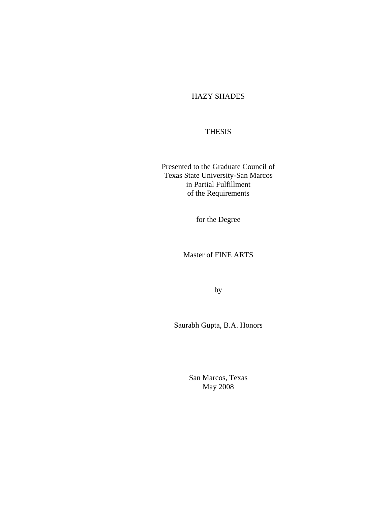### HAZY SHADES

### **THESIS**

Presented to the Graduate Council of Texas State University-San Marcos in Partial Fulfillment of the Requirements

for the Degree

Master of FINE ARTS

by

Saurabh Gupta, B.A. Honors

San Marcos, Texas May 2008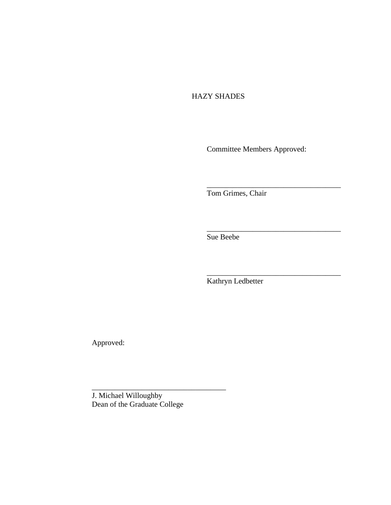## HAZY SHADES

Committee Members Approved:

\_\_\_\_\_\_\_\_\_\_\_\_\_\_\_\_\_\_\_\_\_\_\_\_\_\_\_\_\_\_\_\_\_\_\_

\_\_\_\_\_\_\_\_\_\_\_\_\_\_\_\_\_\_\_\_\_\_\_\_\_\_\_\_\_\_\_\_\_\_\_

\_\_\_\_\_\_\_\_\_\_\_\_\_\_\_\_\_\_\_\_\_\_\_\_\_\_\_\_\_\_\_\_\_\_\_

Tom Grimes, Chair

Sue Beebe

Kathryn Ledbetter

Approved:

J. Michael Willoughby Dean of the Graduate College

\_\_\_\_\_\_\_\_\_\_\_\_\_\_\_\_\_\_\_\_\_\_\_\_\_\_\_\_\_\_\_\_\_\_\_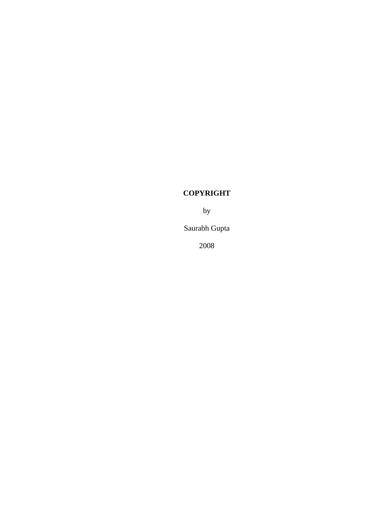# **COPYRIGHT**

by

Saurabh Gupta

2008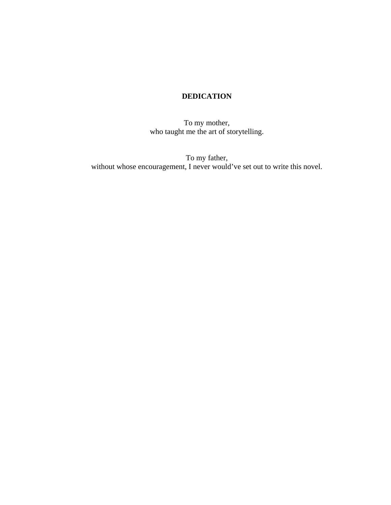# **DEDICATION**

To my mother, who taught me the art of storytelling.

To my father, without whose encouragement, I never would've set out to write this novel.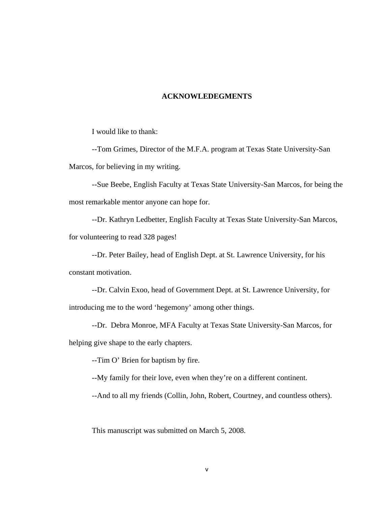#### **ACKNOWLEDEGMENTS**

I would like to thank:

--Tom Grimes, Director of the M.F.A. program at Texas State University-San Marcos, for believing in my writing.

--Sue Beebe, English Faculty at Texas State University-San Marcos, for being the most remarkable mentor anyone can hope for.

--Dr. Kathryn Ledbetter, English Faculty at Texas State University-San Marcos, for volunteering to read 328 pages!

--Dr. Peter Bailey, head of English Dept. at St. Lawrence University, for his constant motivation.

--Dr. Calvin Exoo, head of Government Dept. at St. Lawrence University, for introducing me to the word 'hegemony' among other things.

--Dr. Debra Monroe, MFA Faculty at Texas State University-San Marcos, for

helping give shape to the early chapters.

--Tim O' Brien for baptism by fire.

--My family for their love, even when they're on a different continent.

--And to all my friends (Collin, John, Robert, Courtney, and countless others).

This manuscript was submitted on March 5, 2008.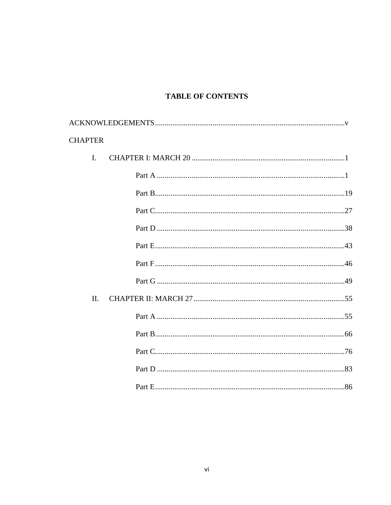## **TABLE OF CONTENTS**

| <b>CHAPTER</b> |                |  |
|----------------|----------------|--|
|                | $\mathbf{I}$ . |  |
|                |                |  |
|                |                |  |
|                |                |  |
|                |                |  |
|                |                |  |
|                |                |  |
|                |                |  |
|                | II.            |  |
|                |                |  |
|                |                |  |
|                |                |  |
|                |                |  |
|                |                |  |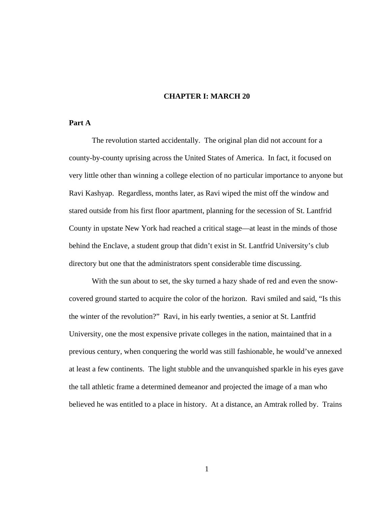#### **CHAPTER I: MARCH 20**

### **Part A**

The revolution started accidentally. The original plan did not account for a county-by-county uprising across the United States of America. In fact, it focused on very little other than winning a college election of no particular importance to anyone but Ravi Kashyap. Regardless, months later, as Ravi wiped the mist off the window and stared outside from his first floor apartment, planning for the secession of St. Lantfrid County in upstate New York had reached a critical stage—at least in the minds of those behind the Enclave, a student group that didn't exist in St. Lantfrid University's club directory but one that the administrators spent considerable time discussing.

With the sun about to set, the sky turned a hazy shade of red and even the snowcovered ground started to acquire the color of the horizon. Ravi smiled and said, "Is this the winter of the revolution?" Ravi, in his early twenties, a senior at St. Lantfrid University, one the most expensive private colleges in the nation, maintained that in a previous century, when conquering the world was still fashionable, he would've annexed at least a few continents. The light stubble and the unvanquished sparkle in his eyes gave the tall athletic frame a determined demeanor and projected the image of a man who believed he was entitled to a place in history. At a distance, an Amtrak rolled by. Trains

1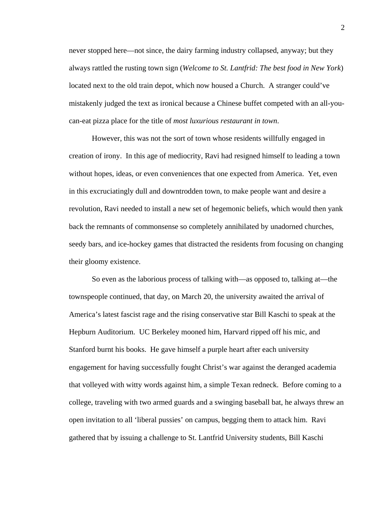never stopped here—not since, the dairy farming industry collapsed, anyway; but they always rattled the rusting town sign (*Welcome to St. Lantfrid: The best food in New York*) located next to the old train depot, which now housed a Church. A stranger could've mistakenly judged the text as ironical because a Chinese buffet competed with an all-youcan-eat pizza place for the title of *most luxurious restaurant in town*.

However, this was not the sort of town whose residents willfully engaged in creation of irony. In this age of mediocrity, Ravi had resigned himself to leading a town without hopes, ideas, or even conveniences that one expected from America. Yet, even in this excruciatingly dull and downtrodden town, to make people want and desire a revolution, Ravi needed to install a new set of hegemonic beliefs, which would then yank back the remnants of commonsense so completely annihilated by unadorned churches, seedy bars, and ice-hockey games that distracted the residents from focusing on changing their gloomy existence.

So even as the laborious process of talking with—as opposed to, talking at—the townspeople continued, that day, on March 20, the university awaited the arrival of America's latest fascist rage and the rising conservative star Bill Kaschi to speak at the Hepburn Auditorium. UC Berkeley mooned him, Harvard ripped off his mic, and Stanford burnt his books. He gave himself a purple heart after each university engagement for having successfully fought Christ's war against the deranged academia that volleyed with witty words against him, a simple Texan redneck. Before coming to a college, traveling with two armed guards and a swinging baseball bat, he always threw an open invitation to all 'liberal pussies' on campus, begging them to attack him. Ravi gathered that by issuing a challenge to St. Lantfrid University students, Bill Kaschi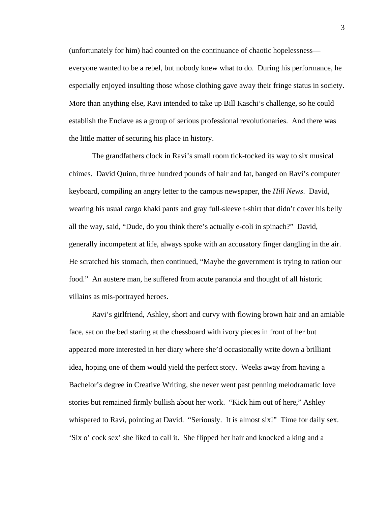(unfortunately for him) had counted on the continuance of chaotic hopelessness everyone wanted to be a rebel, but nobody knew what to do. During his performance, he especially enjoyed insulting those whose clothing gave away their fringe status in society. More than anything else, Ravi intended to take up Bill Kaschi's challenge, so he could establish the Enclave as a group of serious professional revolutionaries. And there was the little matter of securing his place in history.

The grandfathers clock in Ravi's small room tick-tocked its way to six musical chimes. David Quinn, three hundred pounds of hair and fat, banged on Ravi's computer keyboard, compiling an angry letter to the campus newspaper, the *Hill News*. David, wearing his usual cargo khaki pants and gray full-sleeve t-shirt that didn't cover his belly all the way, said, "Dude, do you think there's actually e-coli in spinach?" David, generally incompetent at life, always spoke with an accusatory finger dangling in the air. He scratched his stomach, then continued, "Maybe the government is trying to ration our food." An austere man, he suffered from acute paranoia and thought of all historic villains as mis-portrayed heroes.

Ravi's girlfriend, Ashley, short and curvy with flowing brown hair and an amiable face, sat on the bed staring at the chessboard with ivory pieces in front of her but appeared more interested in her diary where she'd occasionally write down a brilliant idea, hoping one of them would yield the perfect story. Weeks away from having a Bachelor's degree in Creative Writing, she never went past penning melodramatic love stories but remained firmly bullish about her work. "Kick him out of here," Ashley whispered to Ravi, pointing at David. "Seriously. It is almost six!" Time for daily sex. 'Six o' cock sex' she liked to call it. She flipped her hair and knocked a king and a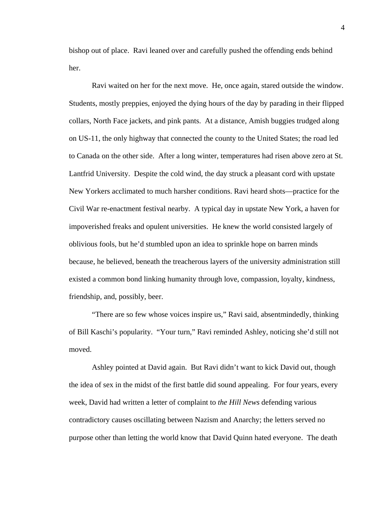bishop out of place. Ravi leaned over and carefully pushed the offending ends behind her.

Ravi waited on her for the next move. He, once again, stared outside the window. Students, mostly preppies, enjoyed the dying hours of the day by parading in their flipped collars, North Face jackets, and pink pants. At a distance, Amish buggies trudged along on US-11, the only highway that connected the county to the United States; the road led to Canada on the other side. After a long winter, temperatures had risen above zero at St. Lantfrid University. Despite the cold wind, the day struck a pleasant cord with upstate New Yorkers acclimated to much harsher conditions. Ravi heard shots—practice for the Civil War re-enactment festival nearby. A typical day in upstate New York, a haven for impoverished freaks and opulent universities. He knew the world consisted largely of oblivious fools, but he'd stumbled upon an idea to sprinkle hope on barren minds because, he believed, beneath the treacherous layers of the university administration still existed a common bond linking humanity through love, compassion, loyalty, kindness, friendship, and, possibly, beer.

"There are so few whose voices inspire us," Ravi said, absentmindedly, thinking of Bill Kaschi's popularity. "Your turn," Ravi reminded Ashley, noticing she'd still not moved.

Ashley pointed at David again. But Ravi didn't want to kick David out, though the idea of sex in the midst of the first battle did sound appealing. For four years, every week, David had written a letter of complaint to *the Hill News* defending various contradictory causes oscillating between Nazism and Anarchy; the letters served no purpose other than letting the world know that David Quinn hated everyone. The death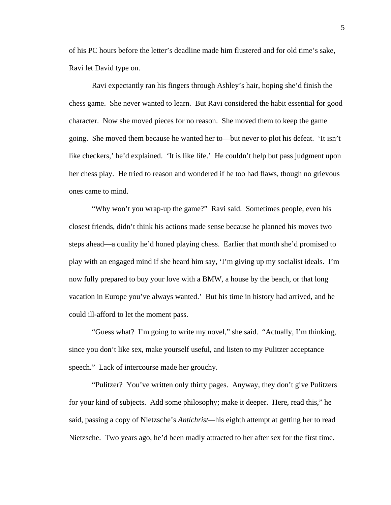of his PC hours before the letter's deadline made him flustered and for old time's sake, Ravi let David type on.

Ravi expectantly ran his fingers through Ashley's hair, hoping she'd finish the chess game. She never wanted to learn. But Ravi considered the habit essential for good character. Now she moved pieces for no reason. She moved them to keep the game going. She moved them because he wanted her to—but never to plot his defeat. 'It isn't like checkers,' he'd explained. 'It is like life.' He couldn't help but pass judgment upon her chess play. He tried to reason and wondered if he too had flaws, though no grievous ones came to mind.

"Why won't you wrap-up the game?" Ravi said. Sometimes people, even his closest friends, didn't think his actions made sense because he planned his moves two steps ahead—a quality he'd honed playing chess. Earlier that month she'd promised to play with an engaged mind if she heard him say, 'I'm giving up my socialist ideals. I'm now fully prepared to buy your love with a BMW, a house by the beach, or that long vacation in Europe you've always wanted.' But his time in history had arrived, and he could ill-afford to let the moment pass.

"Guess what? I'm going to write my novel," she said. "Actually, I'm thinking, since you don't like sex, make yourself useful, and listen to my Pulitzer acceptance speech." Lack of intercourse made her grouchy.

 "Pulitzer? You've written only thirty pages. Anyway, they don't give Pulitzers for your kind of subjects. Add some philosophy; make it deeper. Here, read this," he said, passing a copy of Nietzsche's *Antichrist—*his eighth attempt at getting her to read Nietzsche. Two years ago, he'd been madly attracted to her after sex for the first time.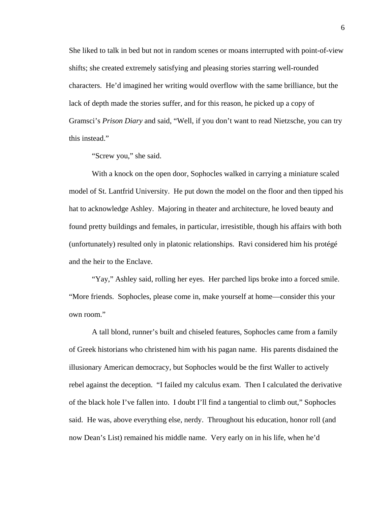She liked to talk in bed but not in random scenes or moans interrupted with point-of-view shifts; she created extremely satisfying and pleasing stories starring well-rounded characters. He'd imagined her writing would overflow with the same brilliance, but the lack of depth made the stories suffer, and for this reason, he picked up a copy of Gramsci's *Prison Diary* and said, "Well, if you don't want to read Nietzsche, you can try this instead."

"Screw you," she said.

With a knock on the open door, Sophocles walked in carrying a miniature scaled model of St. Lantfrid University. He put down the model on the floor and then tipped his hat to acknowledge Ashley. Majoring in theater and architecture, he loved beauty and found pretty buildings and females, in particular, irresistible, though his affairs with both (unfortunately) resulted only in platonic relationships. Ravi considered him his protégé and the heir to the Enclave.

"Yay," Ashley said, rolling her eyes. Her parched lips broke into a forced smile. "More friends. Sophocles, please come in, make yourself at home—consider this your own room."

A tall blond, runner's built and chiseled features, Sophocles came from a family of Greek historians who christened him with his pagan name. His parents disdained the illusionary American democracy, but Sophocles would be the first Waller to actively rebel against the deception. "I failed my calculus exam. Then I calculated the derivative of the black hole I've fallen into. I doubt I'll find a tangential to climb out," Sophocles said. He was, above everything else, nerdy. Throughout his education, honor roll (and now Dean's List) remained his middle name. Very early on in his life, when he'd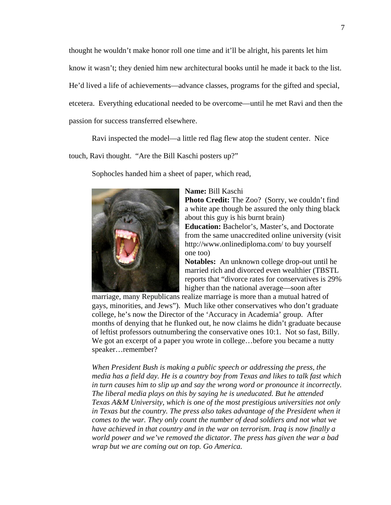thought he wouldn't make honor roll one time and it'll be alright, his parents let him know it wasn't; they denied him new architectural books until he made it back to the list. He'd lived a life of achievements—advance classes, programs for the gifted and special, etcetera. Everything educational needed to be overcome—until he met Ravi and then the passion for success transferred elsewhere.

Ravi inspected the model—a little red flag flew atop the student center. Nice

touch, Ravi thought. "Are the Bill Kaschi posters up?"

Sophocles handed him a sheet of paper, which read,



#### **Name:** Bill Kaschi

**Photo Credit:** The Zoo? (Sorry, we couldn't find a white ape though be assured the only thing black about this guy is his burnt brain)

**Education:** Bachelor's, Master's, and Doctorate from the same unaccredited online university (visit http://www.onlinediploma.com/ to buy yourself one too)

**Notables:** An unknown college drop-out until he married rich and divorced even wealthier (TBSTL reports that "divorce rates for conservatives is 29% higher than the national average—soon after

marriage, many Republicans realize marriage is more than a mutual hatred of gays, minorities, and Jews"). Much like other conservatives who don't graduate college, he's now the Director of the 'Accuracy in Academia' group. After months of denying that he flunked out, he now claims he didn't graduate because of leftist professors outnumbering the conservative ones 10:1. Not so fast, Billy. We got an excerpt of a paper you wrote in college...before you became a nutty speaker…remember?

*When President Bush is making a public speech or addressing the press, the media has a field day. He is a country boy from Texas and likes to talk fast which in turn causes him to slip up and say the wrong word or pronounce it incorrectly. The liberal media plays on this by saying he is uneducated. But he attended Texas A&M University, which is one of the most prestigious universities not only in Texas but the country. The press also takes advantage of the President when it comes to the war. They only count the number of dead soldiers and not what we have achieved in that country and in the war on terrorism. Iraq is now finally a world power and we've removed the dictator. The press has given the war a bad wrap but we are coming out on top. Go America.*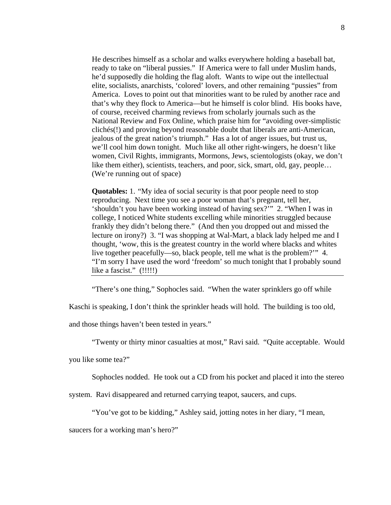He describes himself as a scholar and walks everywhere holding a baseball bat, ready to take on "liberal pussies." If America were to fall under Muslim hands, he'd supposedly die holding the flag aloft. Wants to wipe out the intellectual elite, socialists, anarchists, 'colored' lovers, and other remaining "pussies" from America. Loves to point out that minorities want to be ruled by another race and that's why they flock to America—but he himself is color blind. His books have, of course, received charming reviews from scholarly journals such as the National Review and Fox Online, which praise him for "avoiding over-simplistic clichés(!) and proving beyond reasonable doubt that liberals are anti-American, jealous of the great nation's triumph." Has a lot of anger issues, but trust us, we'll cool him down tonight. Much like all other right-wingers, he doesn't like women, Civil Rights, immigrants, Mormons, Jews, scientologists (okay, we don't like them either), scientists, teachers, and poor, sick, smart, old, gay, people... (We're running out of space)

**Quotables:** 1. "My idea of social security is that poor people need to stop reproducing. Next time you see a poor woman that's pregnant, tell her, 'shouldn't you have been working instead of having sex?'" 2. "When I was in college, I noticed White students excelling while minorities struggled because frankly they didn't belong there." (And then you dropped out and missed the lecture on irony?) 3. "I was shopping at Wal-Mart, a black lady helped me and I thought, 'wow, this is the greatest country in the world where blacks and whites live together peacefully—so, black people, tell me what is the problem?'" 4. "I'm sorry I have used the word 'freedom' so much tonight that I probably sound like a fascist." (!!!!!)

"There's one thing," Sophocles said. "When the water sprinklers go off while

Kaschi is speaking, I don't think the sprinkler heads will hold. The building is too old,

and those things haven't been tested in years."

"Twenty or thirty minor casualties at most," Ravi said. "Quite acceptable. Would

you like some tea?"

Sophocles nodded. He took out a CD from his pocket and placed it into the stereo

system. Ravi disappeared and returned carrying teapot, saucers, and cups.

"You've got to be kidding," Ashley said, jotting notes in her diary, "I mean,

saucers for a working man's hero?"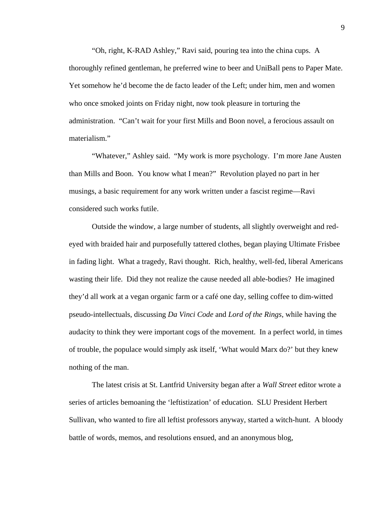"Oh, right, K-RAD Ashley," Ravi said, pouring tea into the china cups. A thoroughly refined gentleman, he preferred wine to beer and UniBall pens to Paper Mate. Yet somehow he'd become the de facto leader of the Left; under him, men and women who once smoked joints on Friday night, now took pleasure in torturing the administration. "Can't wait for your first Mills and Boon novel, a ferocious assault on materialism."

"Whatever," Ashley said. "My work is more psychology. I'm more Jane Austen than Mills and Boon. You know what I mean?" Revolution played no part in her musings, a basic requirement for any work written under a fascist regime—Ravi considered such works futile.

Outside the window, a large number of students, all slightly overweight and redeyed with braided hair and purposefully tattered clothes, began playing Ultimate Frisbee in fading light. What a tragedy, Ravi thought. Rich, healthy, well-fed, liberal Americans wasting their life. Did they not realize the cause needed all able-bodies? He imagined they'd all work at a vegan organic farm or a café one day, selling coffee to dim-witted pseudo-intellectuals, discussing *Da Vinci Code* and *Lord of the Rings*, while having the audacity to think they were important cogs of the movement. In a perfect world, in times of trouble, the populace would simply ask itself, 'What would Marx do?' but they knew nothing of the man.

The latest crisis at St. Lantfrid University began after a *Wall Street* editor wrote a series of articles bemoaning the 'leftistization' of education. SLU President Herbert Sullivan, who wanted to fire all leftist professors anyway, started a witch-hunt. A bloody battle of words, memos, and resolutions ensued, and an anonymous blog,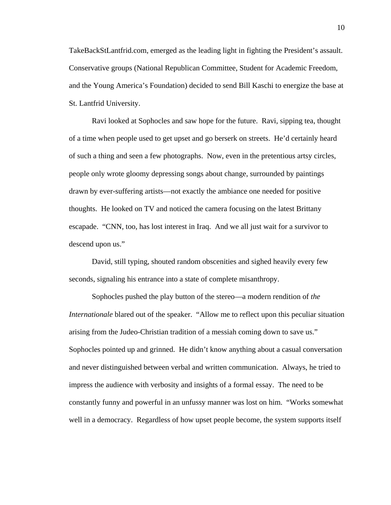TakeBackStLantfrid.com, emerged as the leading light in fighting the President's assault. Conservative groups (National Republican Committee, Student for Academic Freedom, and the Young America's Foundation) decided to send Bill Kaschi to energize the base at St. Lantfrid University.

Ravi looked at Sophocles and saw hope for the future. Ravi, sipping tea, thought of a time when people used to get upset and go berserk on streets. He'd certainly heard of such a thing and seen a few photographs. Now, even in the pretentious artsy circles, people only wrote gloomy depressing songs about change, surrounded by paintings drawn by ever-suffering artists—not exactly the ambiance one needed for positive thoughts. He looked on TV and noticed the camera focusing on the latest Brittany escapade. "CNN, too, has lost interest in Iraq. And we all just wait for a survivor to descend upon us."

David, still typing, shouted random obscenities and sighed heavily every few seconds, signaling his entrance into a state of complete misanthropy.

Sophocles pushed the play button of the stereo—a modern rendition of *the Internationale* blared out of the speaker. "Allow me to reflect upon this peculiar situation arising from the Judeo-Christian tradition of a messiah coming down to save us." Sophocles pointed up and grinned. He didn't know anything about a casual conversation and never distinguished between verbal and written communication. Always, he tried to impress the audience with verbosity and insights of a formal essay. The need to be constantly funny and powerful in an unfussy manner was lost on him. "Works somewhat well in a democracy. Regardless of how upset people become, the system supports itself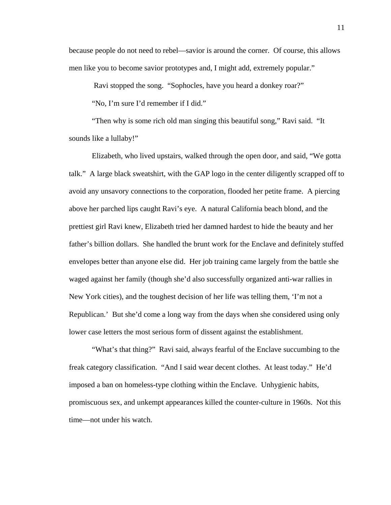because people do not need to rebel—savior is around the corner. Of course, this allows men like you to become savior prototypes and, I might add, extremely popular."

Ravi stopped the song. "Sophocles, have you heard a donkey roar?"

"No, I'm sure I'd remember if I did."

"Then why is some rich old man singing this beautiful song," Ravi said. "It sounds like a lullaby!"

Elizabeth, who lived upstairs, walked through the open door, and said, "We gotta talk." A large black sweatshirt, with the GAP logo in the center diligently scrapped off to avoid any unsavory connections to the corporation, flooded her petite frame. A piercing above her parched lips caught Ravi's eye. A natural California beach blond, and the prettiest girl Ravi knew, Elizabeth tried her damned hardest to hide the beauty and her father's billion dollars. She handled the brunt work for the Enclave and definitely stuffed envelopes better than anyone else did. Her job training came largely from the battle she waged against her family (though she'd also successfully organized anti-war rallies in New York cities), and the toughest decision of her life was telling them, 'I'm not a Republican.' But she'd come a long way from the days when she considered using only lower case letters the most serious form of dissent against the establishment.

"What's that thing?" Ravi said, always fearful of the Enclave succumbing to the freak category classification. "And I said wear decent clothes. At least today." He'd imposed a ban on homeless-type clothing within the Enclave*.* Unhygienic habits, promiscuous sex, and unkempt appearances killed the counter-culture in 1960s. Not this time—not under his watch.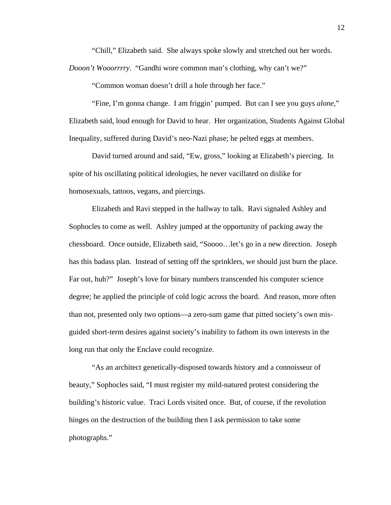"Chill," Elizabeth said. She always spoke slowly and stretched out her words.

*Dooon't Wooorrrry*. "Gandhi wore common man's clothing, why can't we?"

"Common woman doesn't drill a hole through her face."

"Fine, I'm gonna change. I am friggin' pumped. But can I see you guys *alone*," Elizabeth said, loud enough for David to hear. Her organization, Students Against Global Inequality, suffered during David's neo-Nazi phase; he pelted eggs at members.

David turned around and said, "Ew, gross," looking at Elizabeth's piercing. In spite of his oscillating political ideologies, he never vacillated on dislike for homosexuals, tattoos, vegans, and piercings.

Elizabeth and Ravi stepped in the hallway to talk. Ravi signaled Ashley and Sophocles to come as well. Ashley jumped at the opportunity of packing away the chessboard. Once outside, Elizabeth said, "Soooo…let's go in a new direction. Joseph has this badass plan. Instead of setting off the sprinklers, we should just burn the place. Far out, huh?" Joseph's love for binary numbers transcended his computer science degree; he applied the principle of cold logic across the board. And reason, more often than not, presented only two options—a zero-sum game that pitted society's own misguided short-term desires against society's inability to fathom its own interests in the long run that only the Enclave could recognize.

"As an architect genetically-disposed towards history and a connoisseur of beauty," Sophocles said, "I must register my mild-natured protest considering the building's historic value. Traci Lords visited once. But, of course, if the revolution hinges on the destruction of the building then I ask permission to take some photographs."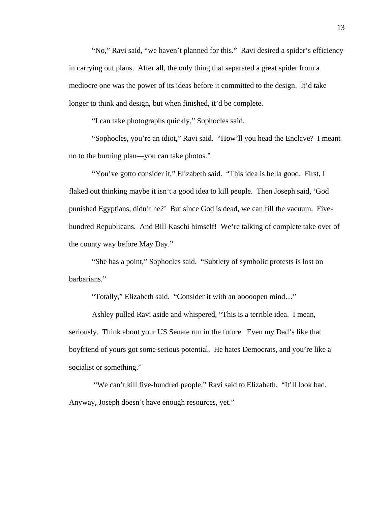"No," Ravi said, "we haven't planned for this." Ravi desired a spider's efficiency in carrying out plans. After all, the only thing that separated a great spider from a mediocre one was the power of its ideas before it committed to the design. It'd take longer to think and design, but when finished, it'd be complete.

"I can take photographs quickly," Sophocles said.

"Sophocles, you're an idiot," Ravi said. "How'll you head the Enclave? I meant no to the burning plan—you can take photos."

"You've gotto consider it," Elizabeth said. "This idea is hella good. First, I flaked out thinking maybe it isn't a good idea to kill people. Then Joseph said, 'God punished Egyptians, didn't he?' But since God is dead, we can fill the vacuum. Fivehundred Republicans. And Bill Kaschi himself! We're talking of complete take over of the county way before May Day."

"She has a point," Sophocles said. "Subtlety of symbolic protests is lost on barbarians."

"Totally," Elizabeth said. "Consider it with an ooooopen mind…"

Ashley pulled Ravi aside and whispered, "This is a terrible idea. I mean, seriously. Think about your US Senate run in the future. Even my Dad's like that boyfriend of yours got some serious potential. He hates Democrats, and you're like a socialist or something."

"We can't kill five-hundred people," Ravi said to Elizabeth. "It'll look bad. Anyway, Joseph doesn't have enough resources, yet."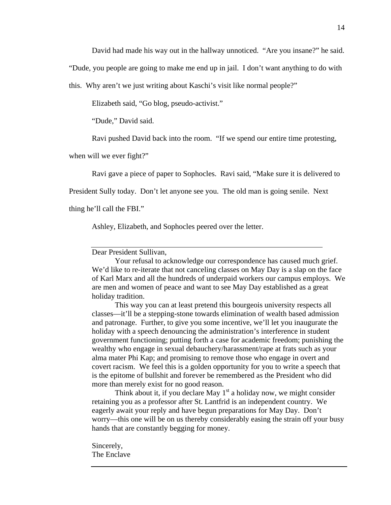David had made his way out in the hallway unnoticed. "Are you insane?" he said.

"Dude, you people are going to make me end up in jail. I don't want anything to do with

this. Why aren't we just writing about Kaschi's visit like normal people?"

Elizabeth said, "Go blog, pseudo-activist."

"Dude," David said.

Ravi pushed David back into the room. "If we spend our entire time protesting,

when will we ever fight?"

Ravi gave a piece of paper to Sophocles. Ravi said, "Make sure it is delivered to

President Sully today. Don't let anyone see you. The old man is going senile. Next

thing he'll call the FBI."

Ashley, Elizabeth, and Sophocles peered over the letter.

#### Dear President Sullivan,

 Your refusal to acknowledge our correspondence has caused much grief. We'd like to re-iterate that not canceling classes on May Day is a slap on the face of Karl Marx and all the hundreds of underpaid workers our campus employs. We are men and women of peace and want to see May Day established as a great holiday tradition.

 This way you can at least pretend this bourgeois university respects all classes—it'll be a stepping-stone towards elimination of wealth based admission and patronage. Further, to give you some incentive, we'll let you inaugurate the holiday with a speech denouncing the administration's interference in student government functioning; putting forth a case for academic freedom; punishing the wealthy who engage in sexual debauchery/harassment/rape at frats such as your alma mater Phi Kap; and promising to remove those who engage in overt and covert racism. We feel this is a golden opportunity for you to write a speech that is the epitome of bullshit and forever be remembered as the President who did more than merely exist for no good reason.

Think about it, if you declare May  $1<sup>st</sup>$  a holiday now, we might consider retaining you as a professor after St. Lantfrid is an independent country. We eagerly await your reply and have begun preparations for May Day. Don't worry—this one will be on us thereby considerably easing the strain off your busy hands that are constantly begging for money.

Sincerely, The Enclave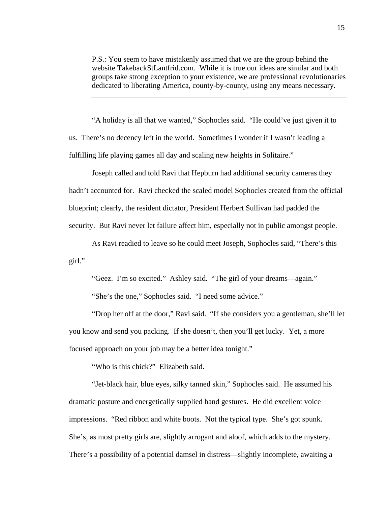P.S.: You seem to have mistakenly assumed that we are the group behind the website TakebackStLantfrid.com. While it is true our ideas are similar and both groups take strong exception to your existence, we are professional revolutionaries dedicated to liberating America, county-by-county, using any means necessary.

"A holiday is all that we wanted," Sophocles said. "He could've just given it to us. Th ere's no decency left in the world. Sometimes I wonder if I wasn't leading a fulfilling life playing games all day and scaling new heights in Solitaire."

Joseph called and told Ravi that Hepburn had additional security cameras they hadn't accounted for. Ravi checked the scaled model Sophocles created from the official security. But Ravi never let failure affect him, especially not in public amongst people. blueprint; clearly, the resident dictator, President Herbert Sullivan had padded the

girl." As Ravi readied to leave so he could meet Joseph, Sophocles said, "There's this

"Geez. I'm so excited." Ashley said. "The girl of your dreams—again."

"She's the one," Sophocles said. "I need some advice."

"Drop her off at the door," Ravi said. "If she considers you a gentleman, she'll let you kno w and send you packing. If she doesn't, then you'll get lucky. Yet, a more focused approach on your job may be a better idea tonight."

"Who is this chick?" Elizabeth said.

"Jet-black hair, blue eyes, silky tanned skin," Sophocles said. He assumed his dramat ic posture and energetically supplied hand gestures. He did excellent voice She's, as most pretty girls are, slightly arrogant and aloof, which adds to the mystery. impressions. "Red ribbon and white boots. Not the typical type. She's got spunk. There's a possibility of a potential damsel in distress—slightly incomplete, awaiting a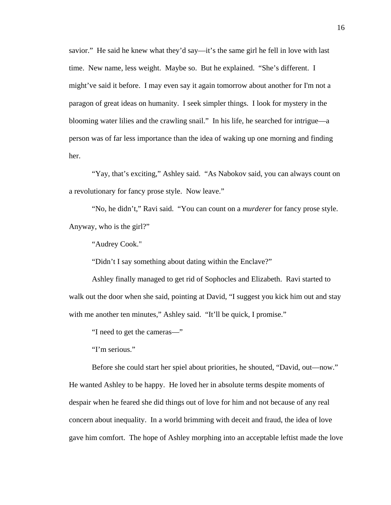savior." He said he knew what they'd say—it's the same girl he fell in love with last time. New name, less weight. Maybe so. But he explained. "She's different. I might've said it before. I may even say it again tomorrow about another for I'm n ot a paragon of great ideas on humanity. I seek simpler things. I look for mystery in the blooming water lilies and the crawling snail." In his life, he searched for intrigue—a person was of far less importance than the idea of waking up one morning and finding her.

"Yay, that's exciting," Ashley said. "As Nabokov said, you can always count on a revol utionary for fancy prose style. Now leave."

"No, he didn't," Ravi said. "You can count on a *murderer* for fancy prose style. Anywa y, who is the girl?"

"Audrey Cook."

"Didn't I say something about dating within the Enclave?"

Ashley finally managed to get rid of Sophocles and Elizabeth. Ravi started to walk out the door when she said, pointing at David, "I suggest you kick him out and stay with me another ten minutes," Ashley said. "It'll be quick, I promise."

"I need to get the cameras—"

"I'm serious."

Before she could start her spiel about priorities, he shouted, "David, out—now." He wan ted Ashley to be happy. He loved her in absolute terms despite moments of gave him comfort. The hope of Ashley morphing into an acceptable leftist made the love despair when he feared she did things out of love for him and not because of any real concern about inequality. In a world brimming with deceit and fraud, the idea of love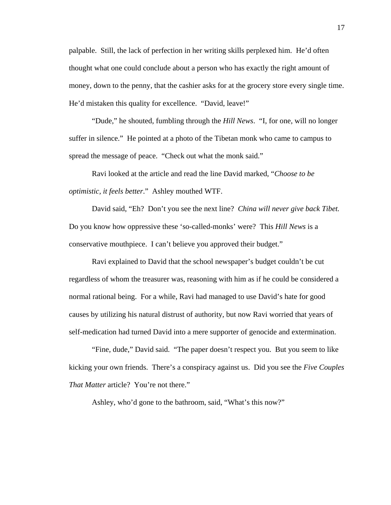palpable. Still, the lack of perfection in her writing skills perplexed him. He'd often thought what one could conclude about a person who has exactly the right amount of money, down to the penny, that the cashier asks for at the grocery store every single ti me. He'd mistaken this quality for excellence. "David, leave!"

 "Dude," he shouted, fumbling through the *Hill News* . "I, for one, will no longer suffer in silence." He pointed at a photo of the Tibetan monk who came to campus to spread the message of peace. "Check out what the monk said."

Ravi looked at the article and read the line David marked, "Choose to be *optimistic, it feels better*." Ashley mouthed WTF.

David said, "Eh? Don't you see the next line? *China will never give back Tibet*. Do you know how oppressive these 'so-called-monks' were? This *Hill News* is a conservative mouthpiece. I can't believe you approved their budget."

Ravi explained to David that the school newspaper's budget couldn't be cut regardless of whom the treasurer was, reasoning with him as if he could be considered a causes by utilizing his natural distrust of authority, but now Ravi worried that years of self-medication had turned David into a mere supporter of genocide and extermination. normal rational being. For a while, Ravi had managed to use David's hate for good

 "Fine, dude," David said. "The paper doesn't respect you. But you seem to like kicking your own friends. There's a conspiracy against us. Did you see the *Five Couples That Matter* article? You're not there."

Ashley, who'd gone to the bathroom, said, "What's this now?"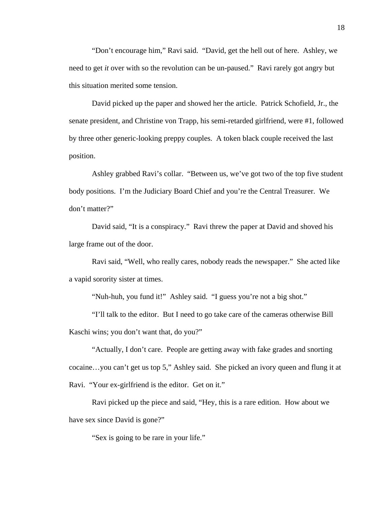"Don't encourage him," Ravi said. "David, get the hell out of here. Ashley, we need to get *it* over with so the revolution can be un-paused." Ravi rarely got angry but this situation merited some tension.

 David picked up the paper and showed her the article. Patrick Schofield, Jr., the senate president, and Christine von Trapp, his semi-retarded girlfriend, were #1, followed by three other generic-looking preppy couples. A token black couple received the last position.

 Ashley grabbed Ravi's collar. "Between us, we've got two of the top five student body positions. I'm the Judiciary Board Chief and you're the Central Treasurer. We don't matter?"

 David said, "It is a conspiracy." Ravi threw the paper at David and shoved his large frame out of the door.

 Ravi said, "Well, who really cares, nobody reads the newspaper." She acted like a vapid sorority sister at times.

"Nuh-huh, you fund it!" Ashley said. "I guess you're not a big shot."

 "I'll talk to the editor. But I need to go take care of the cameras otherwise Bill Kaschi wins; you don't want that, do you?"

 "Actually, I don't care. People are getting away with fake grades and snorting cocaine…you can't get us top 5," Ashley said. She picked an ivory queen and flung it at Ravi. "Your ex-girlfriend is the editor. Get on it."

 Ravi picked up the piece and said, "Hey, this is a rare edition. How about we have sex since David is gone?"

"Sex is going to be rare in your life."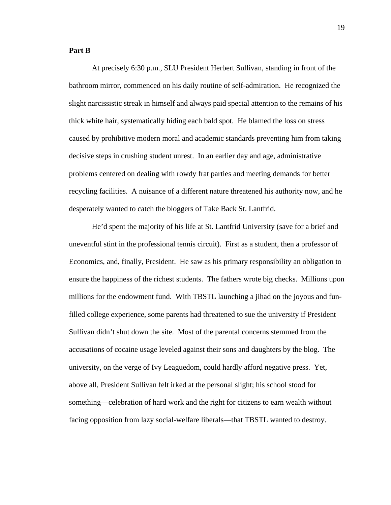#### **Part B**

At precisely 6:30 p.m., SLU President Herbert Sullivan, standing in front of the bathroom mirror, commenced on his daily routine of self-admiration. He recognized the slight narcissistic streak in himself and always paid special attention to the remains of his thick white hair, systematically hiding each bald spot. He blamed the loss on stress caused by prohibitive modern moral and academic standards preventing him from taking decisive steps in crushing student unrest. In an earlier day and age, administrative problems centered on dealing with rowdy frat parties and meeting demands for better recycling facilities. A nuisance of a different nature threatened his authority now, and he desperately wanted to catch the bloggers of Take Back St. Lantfrid.

He'd spent the majority of his life at St. Lantfrid University (save for a brief and uneventful stint in the professional tennis circuit). First as a student, then a professor of Economics, and, finally, President. He saw as his primary responsibility an obligation to ensure the happiness of the richest students. The fathers wrote big checks. Millions upon millions for the endowment fund. With TBSTL launching a jihad on the joyous and funfilled college experience, some parents had threatened to sue the university if President Sullivan didn't shut down the site. Most of the parental concerns stemmed from the accusations of cocaine usage leveled against their sons and daughters by the blog. The university, on the verge of Ivy Leaguedom, could hardly afford negative press. Yet, above all, President Sullivan felt irked at the personal slight; his school stood for something—celebration of hard work and the right for citizens to earn wealth without facing opposition from lazy social-welfare liberals—that TBSTL wanted to destroy.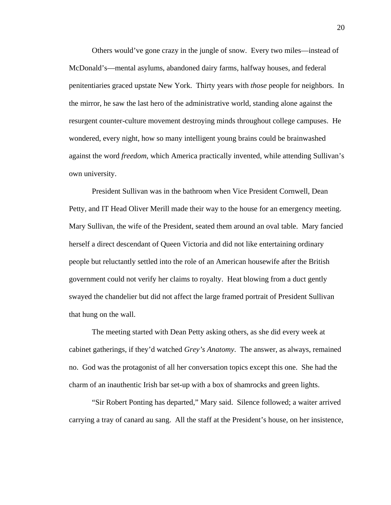Others would've gone crazy in the jungle of snow. Every two miles—instead of McDonald's—mental asylums, abandoned dairy farms, halfway houses, and federal penitentiaries graced upstate New York. Thirty years with *those* people for neighbors. In the mirror, he saw the last hero of the administrative world, standing alone against the resurgent counter-culture movement destroying minds throughout college campuses. He wondered, every night, how so many intelligent young brains could be brainwashed against the word *freedom*, which America practically invented, while attending Sullivan's own university.

 President Sullivan was in the bathroom when Vice President Cornwell, Dean Petty, and IT Head Oliver Merill made their way to the house for an emergency meeting. Mary Sullivan, the wife of the President, seated them around an oval table. Mary fancied herself a direct descendant of Queen Victoria and did not like entertaining ordinary people but reluctantly settled into the role of an American housewife after the British government could not verify her claims to royalty. Heat blowing from a duct gently swayed the chandelier but did not affect the large framed portrait of President Sullivan that hung on the wall.

 The meeting started with Dean Petty asking others, as she did every week at cabinet gatherings, if they'd watched *Grey's Anatomy*. The answer, as always, remained no. God was the protagonist of all her conversation topics except this one. She had the charm of an inauthentic Irish bar set-up with a box of shamrocks and green lights.

 "Sir Robert Ponting has departed," Mary said. Silence followed; a waiter arrived carrying a tray of canard au sang. All the staff at the President's house, on her insistence,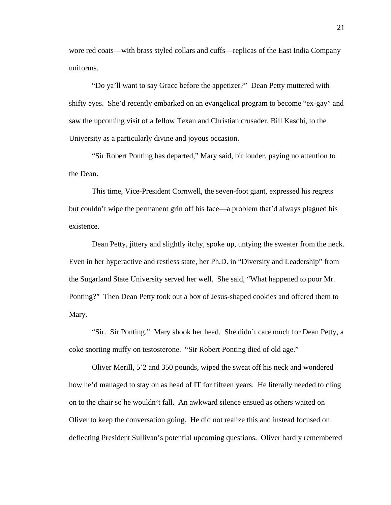wore red coats—with brass styled collars and cuffs—replicas of the East India Company uniforms.

 "Do ya'll want to say Grace before the appetizer?" Dean Petty muttered with shifty eyes. She'd recently embarked on an evangelical program to become "ex-gay" and saw the upcoming visit of a fellow Texan and Christian crusader, Bill Kaschi, to the University as a particularly divine and joyous occasion.

 "Sir Robert Ponting has departed," Mary said, bit louder, paying no attention to the Dean.

This time, Vice-President Cornwell, the seven-foot giant, expressed his regrets but couldn't wipe the permanent grin off his face—a problem that'd always plagued his existence.

Dean Petty, jittery and slightly itchy, spoke up, untying the sweater from the neck. Even in her hyperactive and restless state, her Ph.D. in "Diversity and Leadership" from the Sugarland State University served her well. She said, "What happened to poor Mr. Ponting?" Then Dean Petty took out a box of Jesus-shaped cookies and offered them to Mary.

"Sir. Sir Ponting." Mary shook her head. She didn't care much for Dean Petty, a coke snorting muffy on testosterone. "Sir Robert Ponting died of old age."

Oliver Merill, 5'2 and 350 pounds, wiped the sweat off his neck and wondered how he'd managed to stay on as head of IT for fifteen years. He literally needed to cling on to the chair so he wouldn't fall. An awkward silence ensued as others waited on Oliver to keep the conversation going. He did not realize this and instead focused on deflecting President Sullivan's potential upcoming questions. Oliver hardly remembered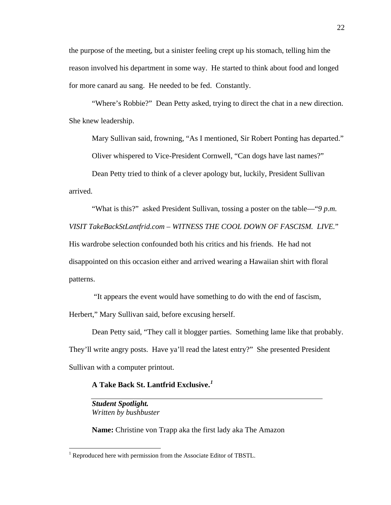the purpose of the meeting, but a sinister feeling crept up his stomach, telling him the reason involved his department in some way. He started to think about food and longed for more canard au sang. He needed to be fed. Constantly.

"Where's Robbie?" Dean Petty asked, trying to direct the chat in a new direction. She knew leadership.

Mary Sullivan said, frowning, "As I mentioned, Sir Robert Ponting has departed."

Oliver whispered to Vice-President Cornwell, "Can dogs have last names?"

Dean Petty tried to think of a clever apology but, luckily, President Sullivan arrived.

"What is this?" asked President Sullivan, tossing a poster on the table—"*9 p.m. VISIT TakeBackStLantfrid.com – WITNESS THE COOL DOWN OF FASCISM. LIVE.*" His wardrobe selection confounded both his critics and his friends. He had not disappointed on this occasion either and arrived wearing a Hawaiian shirt with floral patterns.

 "It appears the event would have something to do with the end of fascism, Herbert," Mary Sullivan said, before excusing herself.

 Dean Petty said, "They call it blogger parties. Something lame like that probably. They'll write angry posts. Have ya'll read the latest entry?" She presented President Sullivan with a computer printout.

**A Take Back St. Lantfrid Exclusive.***[1](#page-27-0)* 

*Student Spotlight. Written by bushbuster* 

**Name:** Christine von Trapp aka the first lady aka The Amazon

<span id="page-27-0"></span><sup>&</sup>lt;sup>1</sup> Reproduced here with permission from the Associate Editor of TBSTL.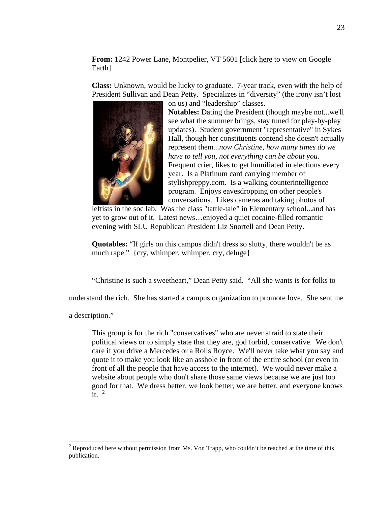**From:** 1242 Power Lane, Montpelier, VT 5601 [click here to view on Google Earth]

**Class:** Unknown, would be lucky to graduate. 7-year track, even with the help of President Sullivan and Dean Petty. Specializes in "diversity" (the irony isn't lost on us) and "leadership" classes.



**Notables:** Dating the President (though maybe not...we'll see what the summer brings, stay tuned for play-by-play updates). Student government "representative" in Sykes Hall, though her constituents contend she doesn't actually represent them*...now Christine, how many times do we have to tell you, not everything can be about you.* Frequent crier, likes to get humiliated in elections every year. Is a Platinum card carrying member of stylishpreppy.com. Is a walking counterintelligence program. Enjoys eavesdropping on other people's conversations. Likes cameras and taking photos of

leftists in the soc lab. Was the class "tattle-tale" in Elementary school...and has yet to grow out of it. Latest news…enjoyed a quiet cocaine-filled romantic evening with SLU Republican President Liz Snortell and Dean Petty.

**Quotables:** "If girls on this campus didn't dress so slutty, there wouldn't be as much rape." {cry, whimper, whimper, cry, deluge}

"Christine is such a sweetheart," Dean Petty said. "All she wants is for folks to

understand the rich. She has started a campus organization to promote love. She sent me

a description."

This group is for the rich "conservatives" who are never afraid to state their political views or to simply state that they are, god forbid, conservative. We don't care if you drive a Mercedes or a Rolls Royce. We'll never take what you say and quote it to make you look like an asshole in front of the entire school (or even in front of all the people that have access to the internet). We would never make a website about people who don't share those same views because we are just too good for that. We dress better, we look better, we are better, and everyone knows it. [2](#page-28-0)

<span id="page-28-0"></span><sup>&</sup>lt;sup>2</sup> Reproduced here without permission from Ms. Von Trapp, who couldn't be reached at the time of this publication.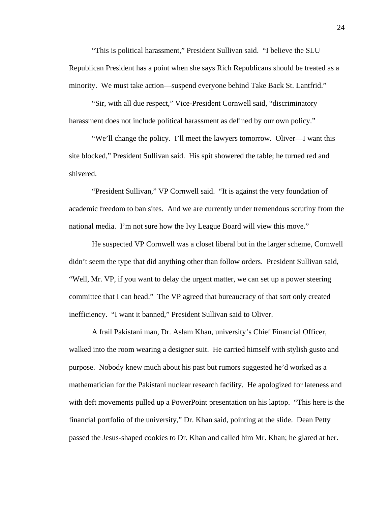"This is political harassment," President Sullivan said. "I believe the SLU Republican President has a point when she says Rich Republicans should be treated as a minority. We must take action—suspend everyone behind Take Back St. Lantfrid."

 "Sir, with all due respect," Vice-President Cornwell said, "discriminatory harassment does not include political harassment as defined by our own policy."

 "We'll change the policy. I'll meet the lawyers tomorrow. Oliver—I want this site blocked," President Sullivan said. His spit showered the table; he turned red and shivered.

 "President Sullivan," VP Cornwell said. "It is against the very foundation of academic freedom to ban sites. And we are currently under tremendous scrutiny from the national media. I'm not sure how the Ivy League Board will view this move."

 He suspected VP Cornwell was a closet liberal but in the larger scheme, Cornwell didn't seem the type that did anything other than follow orders. President Sullivan said, "Well, Mr. VP, if you want to delay the urgent matter, we can set up a power steering committee that I can head." The VP agreed that bureaucracy of that sort only created inefficiency. "I want it banned," President Sullivan said to Oliver.

 A frail Pakistani man, Dr. Aslam Khan, university's Chief Financial Officer, walked into the room wearing a designer suit. He carried himself with stylish gusto and purpose. Nobody knew much about his past but rumors suggested he'd worked as a mathematician for the Pakistani nuclear research facility. He apologized for lateness and with deft movements pulled up a PowerPoint presentation on his laptop. "This here is the financial portfolio of the university," Dr. Khan said, pointing at the slide. Dean Petty passed the Jesus-shaped cookies to Dr. Khan and called him Mr. Khan; he glared at her.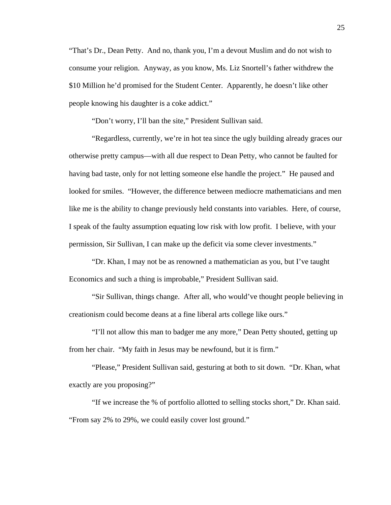"That's Dr., Dean Petty. And no, thank you, I'm a devout Muslim and do not wish to consume your religion. Anyway, as you know, Ms. Liz Snortell's father withdrew the \$10 Million he'd promised for the Student Center. Apparently, he doesn't like other people knowing his daughter is a coke addict."

"Don't worry, I'll ban the site," President Sullivan said.

 "Regardless, currently, we're in hot tea since the ugly building already graces our otherwise pretty campus—with all due respect to Dean Petty, who cannot be faulted for having bad taste, only for not letting someone else handle the project." He paused and looked for smiles. "However, the difference between mediocre mathematicians and men like me is the ability to change previously held constants into variables. Here, of course, I speak of the faulty assumption equating low risk with low profit. I believe, with your permission, Sir Sullivan, I can make up the deficit via some clever investments."

 "Dr. Khan, I may not be as renowned a mathematician as you, but I've taught Economics and such a thing is improbable," President Sullivan said.

 "Sir Sullivan, things change. After all, who would've thought people believing in creationism could become deans at a fine liberal arts college like ours."

 "I'll not allow this man to badger me any more," Dean Petty shouted, getting up from her chair. "My faith in Jesus may be newfound, but it is firm."

 "Please," President Sullivan said, gesturing at both to sit down. "Dr. Khan, what exactly are you proposing?"

 "If we increase the % of portfolio allotted to selling stocks short," Dr. Khan said. "From say 2% to 29%, we could easily cover lost ground."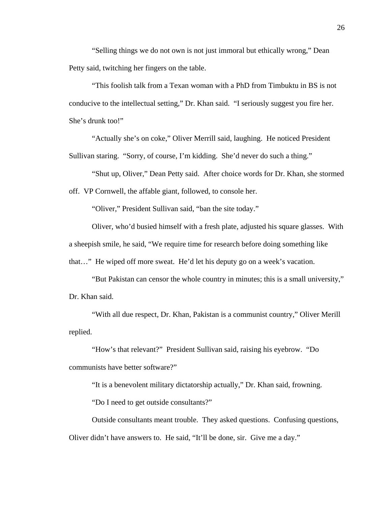"Selling things we do not own is not just immoral but ethically wrong," Dean Petty said, twitching her fingers on the table.

 "This foolish talk from a Texan woman with a PhD from Timbuktu in BS is not conducive to the intellectual setting," Dr. Khan said. "I seriously suggest you fire her. She's drunk too!"

 "Actually she's on coke," Oliver Merrill said, laughing. He noticed President Sullivan staring. "Sorry, of course, I'm kidding. She'd never do such a thing."

 "Shut up, Oliver," Dean Petty said. After choice words for Dr. Khan, she stormed off. VP Cornwell, the affable giant, followed, to console her.

"Oliver," President Sullivan said, "ban the site today."

 Oliver, who'd busied himself with a fresh plate, adjusted his square glasses. With a sheepish smile, he said, "We require time for research before doing something like that…" He wiped off more sweat. He'd let his deputy go on a week's vacation.

 "But Pakistan can censor the whole country in minutes; this is a small university," Dr. Khan said.

 "With all due respect, Dr. Khan, Pakistan is a communist country," Oliver Merill replied.

 "How's that relevant?" President Sullivan said, raising his eyebrow. "Do communists have better software?"

"It is a benevolent military dictatorship actually," Dr. Khan said, frowning.

"Do I need to get outside consultants?"

Outside consultants meant trouble. They asked questions. Confusing questions, Oliver didn't have answers to. He said, "It'll be done, sir. Give me a day."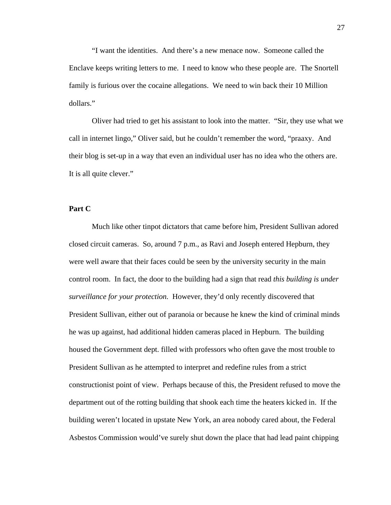"I want the identities. And there's a new menace now. Someone called the Enclave keeps writing letters to me. I need to know who these people are. The Snortell family is furious over the cocaine allegations. We need to win back their 10 Million dollars."

 Oliver had tried to get his assistant to look into the matter. "Sir, they use what we call in internet lingo," Oliver said, but he couldn't remember the word, "praaxy. And their blog is set-up in a way that even an individual user has no idea who the others are. It is all quite clever."

#### **Part C**

Much like other tinpot dictators that came before him, President Sullivan adored closed circuit cameras. So, around 7 p.m., as Ravi and Joseph entered Hepburn, they were well aware that their faces could be seen by the university security in the main control room. In fact, the door to the building had a sign that read *this building is under surveillance for your protection.* However, they'd only recently discovered that President Sullivan, either out of paranoia or because he knew the kind of criminal minds he was up against, had additional hidden cameras placed in Hepburn. The building housed the Government dept. filled with professors who often gave the most trouble to President Sullivan as he attempted to interpret and redefine rules from a strict constructionist point of view. Perhaps because of this, the President refused to move the department out of the rotting building that shook each time the heaters kicked in. If the building weren't located in upstate New York, an area nobody cared about, the Federal Asbestos Commission would've surely shut down the place that had lead paint chipping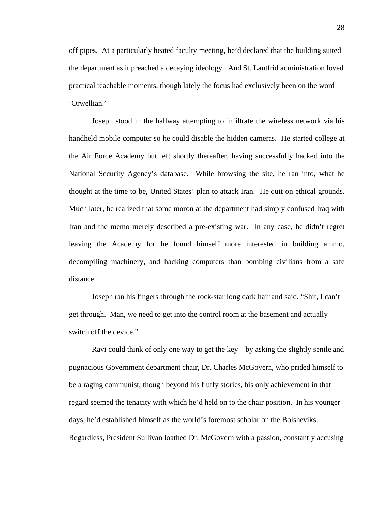off pipes. At a particularly heated faculty meeting, he'd declared that the building suited the department as it preached a decaying ideology. And St. Lantfrid administration loved practical teachable moments, though lately the focus had exclusively been on the word 'Orwellian.'

Joseph stood in the hallway attempting to infiltrate the wireless network via his handheld mobile computer so he could disable the hidden cameras. He started college at the Air Force Academy but left shortly thereafter, having successfully hacked into the National Security Agency's database. While browsing the site, he ran into, what he thought at the time to be, United States' plan to attack Iran. He quit on ethical grounds. Much later, he realized that some moron at the department had simply confused Iraq with Iran and the memo merely described a pre-existing war. In any case, he didn't regret leaving the Academy for he found himself more interested in building ammo, decompiling machinery, and hacking computers than bombing civilians from a safe distance.

 Joseph ran his fingers through the rock-star long dark hair and said, "Shit, I can't get through. Man, we need to get into the control room at the basement and actually switch off the device."

 Ravi could think of only one way to get the key—by asking the slightly senile and pugnacious Government department chair, Dr. Charles McGovern, who prided himself to be a raging communist, though beyond his fluffy stories, his only achievement in that regard seemed the tenacity with which he'd held on to the chair position. In his younger days, he'd established himself as the world's foremost scholar on the Bolsheviks. Regardless, President Sullivan loathed Dr. McGovern with a passion, constantly accusing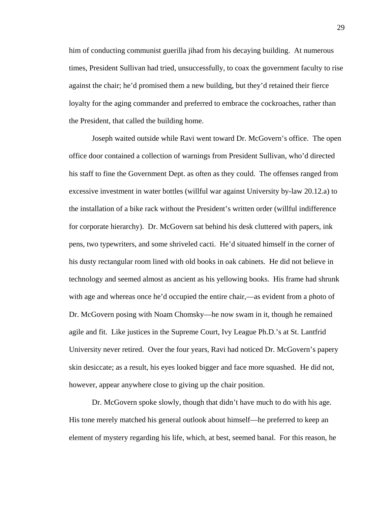him of conducting communist guerilla jihad from his decaying building. At numerous times, President Sullivan had tried, unsuccessfully, to coax the government faculty to rise against the chair; he'd promised them a new building, but they'd retained their fierce loyalty for the aging commander and preferred to embrace the cockroaches, rather than the President, that called the building home.

 Joseph waited outside while Ravi went toward Dr. McGovern's office. The open office door contained a collection of warnings from President Sullivan, who'd directed his staff to fine the Government Dept. as often as they could. The offenses ranged from excessive investment in water bottles (willful war against University by-law 20.12.a) to the installation of a bike rack without the President's written order (willful indifference for corporate hierarchy). Dr. McGovern sat behind his desk cluttered with papers, ink pens, two typewriters, and some shriveled cacti. He'd situated himself in the corner of his dusty rectangular room lined with old books in oak cabinets. He did not believe in technology and seemed almost as ancient as his yellowing books. His frame had shrunk with age and whereas once he'd occupied the entire chair,—as evident from a photo of Dr. McGovern posing with Noam Chomsky—he now swam in it, though he remained agile and fit. Like justices in the Supreme Court, Ivy League Ph.D.'s at St. Lantfrid University never retired. Over the four years, Ravi had noticed Dr. McGovern's papery skin desiccate; as a result, his eyes looked bigger and face more squashed. He did not, however, appear anywhere close to giving up the chair position.

Dr. McGovern spoke slowly, though that didn't have much to do with his age. His tone merely matched his general outlook about himself—he preferred to keep an element of mystery regarding his life, which, at best, seemed banal. For this reason, he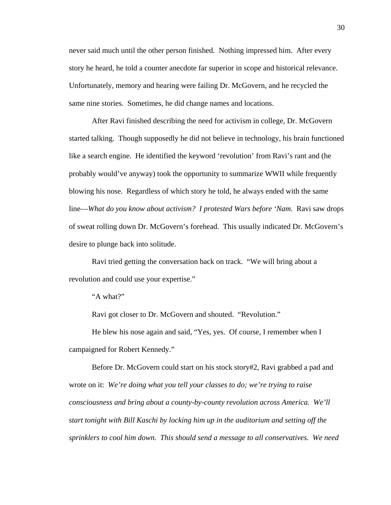never said much until the other person finished. Nothing impressed him. After every story he heard, he told a counter anecdote far superior in scope and historical relevance. Unfortunately, memory and hearing were failing Dr. McGovern, and he recycled the same nine stories. Sometimes, he did change names and locations.

 After Ravi finished describing the need for activism in college, Dr. McGovern started talking. Though supposedly he did not believe in technology, his brain functioned like a search engine. He identified the keyword 'revolution' from Ravi's rant and (he probably would've anyway) took the opportunity to summarize WWII while frequently blowing his nose. Regardless of which story he told, he always ended with the same line—*What do you know about activism? I protested Wars before 'Nam.* Ravi saw drops of sweat rolling down Dr. McGovern's forehead. This usually indicated Dr. McGovern's desire to plunge back into solitude.

 Ravi tried getting the conversation back on track. "We will bring about a revolution and could use your expertise."

"A what?"

Ravi got closer to Dr. McGovern and shouted. "Revolution."

He blew his nose again and said, "Yes, yes. Of course, I remember when I campaigned for Robert Kennedy."

Before Dr. McGovern could start on his stock story#2, Ravi grabbed a pad and wrote on it: *We're doing what you tell your classes to do; we're trying to raise consciousness and bring about a county-by-county revolution across America. We'll start tonight with Bill Kaschi by locking him up in the auditorium and setting off the sprinklers to cool him down. This should send a message to all conservatives. We need*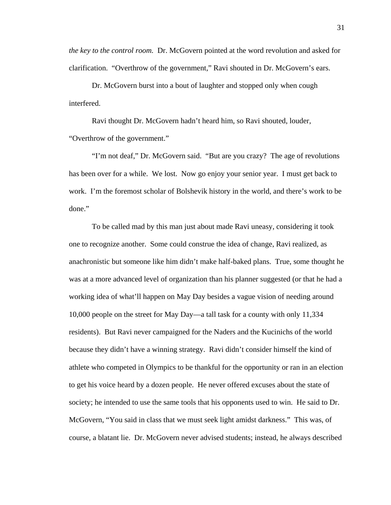*the key to the control room.* Dr. McGovern pointed at the word revolution and asked for clarification. "Overthrow of the government," Ravi shouted in Dr. McGovern's ears.

Dr. McGovern burst into a bout of laughter and stopped only when cough interfered.

Ravi thought Dr. McGovern hadn't heard him, so Ravi shouted, louder, "Overthrow of the government."

"I'm not deaf," Dr. McGovern said. "But are you crazy? The age of revolutions has been over for a while. We lost. Now go enjoy your senior year. I must get back to work. I'm the foremost scholar of Bolshevik history in the world, and there's work to be done."

To be called mad by this man just about made Ravi uneasy, considering it took one to recognize another. Some could construe the idea of change, Ravi realized, as anachronistic but someone like him didn't make half-baked plans. True, some thought he was at a more advanced level of organization than his planner suggested (or that he had a working idea of what'll happen on May Day besides a vague vision of needing around 10,000 people on the street for May Day—a tall task for a county with only 11,334 residents). But Ravi never campaigned for the Naders and the Kucinichs of the world because they didn't have a winning strategy. Ravi didn't consider himself the kind of athlete who competed in Olympics to be thankful for the opportunity or ran in an election to get his voice heard by a dozen people. He never offered excuses about the state of society; he intended to use the same tools that his opponents used to win. He said to Dr. McGovern, "You said in class that we must seek light amidst darkness." This was, of course, a blatant lie. Dr. McGovern never advised students; instead, he always described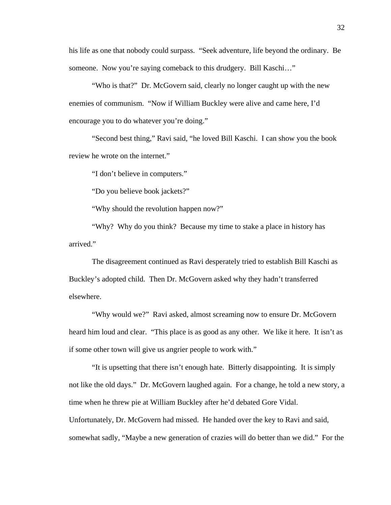his life as one that nobody could surpass. "Seek adventure, life beyond the ordinary. Be someone. Now you're saying comeback to this drudgery. Bill Kaschi..."

"Who is that?" Dr. McGovern said, clearly no longer caught up with the new enemies of communism. "Now if William Buckley were alive and came here, I'd encourage you to do whatever you're doing."

"Second best thing," Ravi said, "he loved Bill Kaschi. I can show you the book review he wrote on the internet."

"I don't believe in computers."

"Do you believe book jackets?"

"Why should the revolution happen now?"

"Why? Why do you think? Because my time to stake a place in history has arrived."

The disagreement continued as Ravi desperately tried to establish Bill Kaschi as Buckley's adopted child. Then Dr. McGovern asked why they hadn't transferred elsewhere.

"Why would we?" Ravi asked, almost screaming now to ensure Dr. McGovern heard him loud and clear. "This place is as good as any other. We like it here. It isn't as if some other town will give us angrier people to work with."

"It is upsetting that there isn't enough hate. Bitterly disappointing. It is simply not like the old days." Dr. McGovern laughed again. For a change, he told a new story, a time when he threw pie at William Buckley after he'd debated Gore Vidal. Unfortunately, Dr. McGovern had missed. He handed over the key to Ravi and said, somewhat sadly, "Maybe a new generation of crazies will do better than we did." For the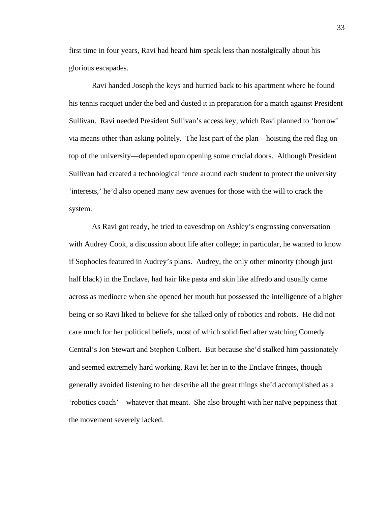first time in four years, Ravi had heard him speak less than nostalgically about his glorious escapades.

 Ravi handed Joseph the keys and hurried back to his apartment where he found his tennis racquet under the bed and dusted it in preparation for a match against President Sullivan. Ravi needed President Sullivan's access key, which Ravi planned to 'borrow' via means other than asking politely. The last part of the plan—hoisting the red flag on top of the university—depended upon opening some crucial doors. Although President Sullivan had created a technological fence around each student to protect the university 'interests,' he'd also opened many new avenues for those with the will to crack the system.

As Ravi got ready, he tried to eavesdrop on Ashley's engrossing conversation with Audrey Cook, a discussion about life after college; in particular, he wanted to know if Sophocles featured in Audrey's plans. Audrey, the only other minority (though just half black) in the Enclave, had hair like pasta and skin like alfredo and usually came across as mediocre when she opened her mouth but possessed the intelligence of a higher being or so Ravi liked to believe for she talked only of robotics and robots. He did not care much for her political beliefs, most of which solidified after watching Comedy Central's Jon Stewart and Stephen Colbert. But because she'd stalked him passionately and seemed extremely hard working, Ravi let her in to the Enclave fringes, though generally avoided listening to her describe all the great things she'd accomplished as a 'robotics coach'—whatever that meant. She also brought with her naïve peppiness that the movement severely lacked.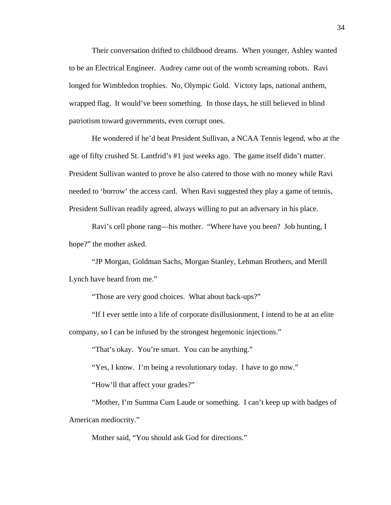Their conversation drifted to childhood dreams. When younger, Ashley wanted to be an Electrical Engineer. Audrey came out of the womb screaming robots. Ravi longed for Wimbledon trophies. No, Olympic Gold. Victory laps, national anthem, wrapped flag. It would've been something. In those days, he still believed in blind patriotism toward governments, even corrupt ones.

He wondered if he'd beat President Sullivan, a NCAA Tennis legend, who at the age of fifty crushed St. Lantfrid's #1 just weeks ago. The game itself didn't matter. President Sullivan wanted to prove he also catered to those with no money while Ravi needed to 'borrow' the access card. When Ravi suggested they play a game of tennis, President Sullivan readily agreed, always willing to put an adversary in his place.

Ravi's cell phone rang—his mother. "Where have you been? Job hunting, I hope?" the mother asked.

 "JP Morgan, Goldman Sachs, Morgan Stanley, Lehman Brothers, and Merill Lynch have heard from me."

"Those are very good choices. What about back-ups?"

 "If I ever settle into a life of corporate disillusionment, I intend to be at an elite company, so I can be infused by the strongest hegemonic injections."

"That's okay. You're smart. You can be anything."

"Yes, I know. I'm being a revolutionary today. I have to go now."

"How'll that affect your grades?"

"Mother, I'm Summa Cum Laude or something. I can't keep up with badges of American mediocrity."

Mother said, "You should ask God for directions."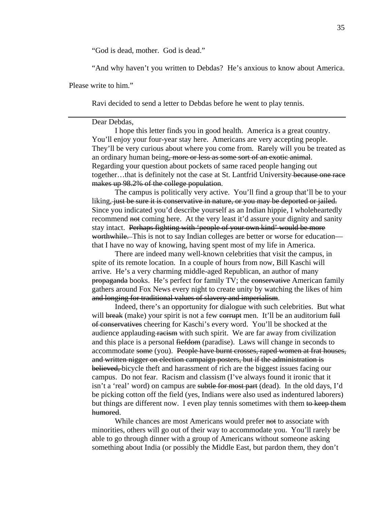"God is dead, mother. God is dead."

"And why haven't you written to Debdas? He's anxious to know about America.

Please write to him."

Ravi decided to send a letter to Debdas before he went to play tennis.

#### Dear Debdas,

I hope this letter finds you in good health. America is a great country. You'll enjoy your four-year stay here. Americans are very accepting people. They'll be very curious about where you come from. Rarely will you be treated as an ordinary human being, more or less as some sort of an exotic animal. Regarding your question about pockets of same raced people hanging out together…that is definitely not the case at St. Lantfrid University because one race makes up 98.2% of the college population.

The campus is politically very active. You'll find a group that'll be to your liking, just be sure it is conservative in nature, or you may be deported or jailed. Since you indicated you'd describe yourself as an Indian hippie, I wholeheartedly recommend not coming here. At the very least it'd assure your dignity and sanity stay intact. Perhaps fighting with 'people of your own kind' would be more worthwhile. This is not to say Indian colleges are better or worse for education that I have no way of knowing, having spent most of my life in America.

There are indeed many well-known celebrities that visit the campus, in spite of its remote location. In a couple of hours from now, Bill Kaschi will arrive. He's a very charming middle-aged Republican, an author of many propaganda books. He's perfect for family TV; the conservative American family gathers around Fox News every night to create unity by watching the likes of him and longing for traditional values of slavery and imperialism.

Indeed, there's an opportunity for dialogue with such celebrities. But what will break (make) your spirit is not a few corrupt men. It'll be an auditorium full of conservatives cheering for Kaschi's every word. You'll be shocked at the audience applauding racism with such spirit. We are far away from civilization and this place is a personal fiefdom (paradise). Laws will change in seconds to accommodate some (you). People have burnt crosses, raped women at frat houses, and written nigger on election campaign posters, but if the administration is believed, bicycle theft and harassment of rich are the biggest issues facing our campus. Do not fear. Racism and classism (I've always found it ironic that it isn't a 'real' word) on campus are subtle for most part (dead). In the old days, I'd be picking cotton off the field (yes, Indians were also used as indentured laborers) but things are different now. I even play tennis sometimes with them to keep them humored.

While chances are most Americans would prefer not to associate with minorities, others will go out of their way to accommodate you. You'll rarely be able to go through dinner with a group of Americans without someone asking something about India (or possibly the Middle East, but pardon them, they don't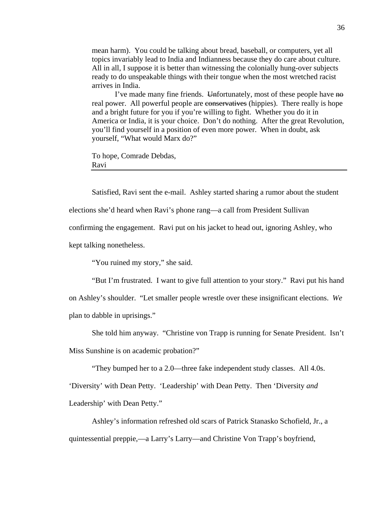mean harm). You could be talking about bread, baseball, or computers, yet all topics invariably lead to India and Indianness because they do care about culture. All in all, I suppose it is better than witnessing the colonially hung-over subjects ready to do unspeakable things with their tongue when the most wretched racist arrives in India.

I've made many fine friends. Unfortunately, most of these people have no real power. All powerful people are conservatives (hippies). There really is hope and a bright future for you if you're willing to fight. Whether you do it in America or India, it is your choice. Don't do nothing. After the great Revolution, you'll find yourself in a position of even more power. When in doubt, ask yourself, "What would Marx do?"

To hope, Comrade Debdas, Ravi

Satisfied, Ravi sent the e-mail. Ashley started sharing a rumor about the student

elections she'd heard when Ravi's phone rang—a call from President Sullivan

confirming the engagement. Ravi put on his jacket to head out, ignoring Ashley, who

kept talking nonetheless.

"You ruined my story," she said.

"But I'm frustrated. I want to give full attention to your story." Ravi put his hand on Ashley's shoulder. "Let smaller people wrestle over these insignificant elections. *We* plan to dabble in uprisings."

She told him anyway. "Christine von Trapp is running for Senate President. Isn't Miss Sunshine is on academic probation?"

"They bumped her to a 2.0—three fake independent study classes. All 4.0s.

'Diversity' with Dean Petty. 'Leadership' with Dean Petty. Then 'Diversity *and*  Leadership' with Dean Petty."

Ashley's information refreshed old scars of Patrick Stanasko Schofield, Jr., a quintessential preppie,—a Larry's Larry—and Christine Von Trapp's boyfriend,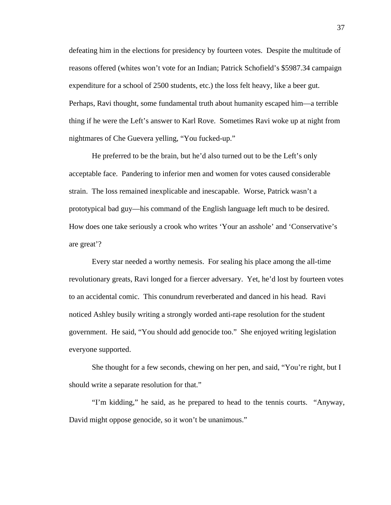defeating him in the elections for presidency by fourteen votes. Despite the multitude of reasons offered (whites won't vote for an Indian; Patrick Schofield's \$5987.34 campaign expenditure for a school of 2500 students, etc.) the loss felt heavy, like a beer gut. Perhaps, Ravi thought, some fundamental truth about humanity escaped him—a terrible thing if he were the Left's answer to Karl Rove. Sometimes Ravi woke up at night from nightmares of Che Guevera yelling, "You fucked-up."

He preferred to be the brain, but he'd also turned out to be the Left's only acceptable face. Pandering to inferior men and women for votes caused considerable strain. The loss remained inexplicable and inescapable. Worse, Patrick wasn't a prototypical bad guy—his command of the English language left much to be desired. How does one take seriously a crook who writes 'Your an asshole' and 'Conservative's are great'?

Every star needed a worthy nemesis. For sealing his place among the all-time revolutionary greats, Ravi longed for a fiercer adversary. Yet, he'd lost by fourteen votes to an accidental comic. This conundrum reverberated and danced in his head. Ravi noticed Ashley busily writing a strongly worded anti-rape resolution for the student government. He said, "You should add genocide too." She enjoyed writing legislation everyone supported.

She thought for a few seconds, chewing on her pen, and said, "You're right, but I should write a separate resolution for that."

"I'm kidding," he said, as he prepared to head to the tennis courts. "Anyway, David might oppose genocide, so it won't be unanimous."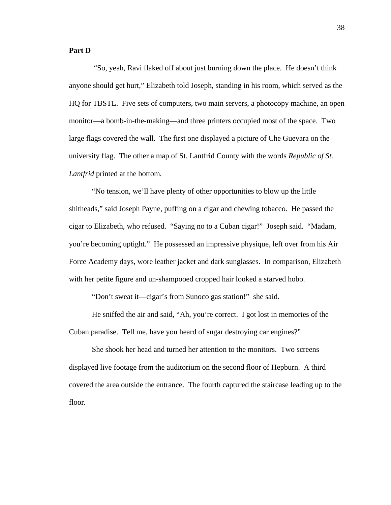### **Part D**

 "So, yeah, Ravi flaked off about just burning down the place. He doesn't think anyone should get hurt," Elizabeth told Joseph, standing in his room, which served as the HQ for TBSTL. Five sets of computers, two main servers, a photocopy machine, an open monitor—a bomb-in-the-making—and three printers occupied most of the space. Two large flags covered the wall. The first one displayed a picture of Che Guevara on the university flag. The other a map of St. Lantfrid County with the words *Republic of St. Lantfrid* printed at the bottom*.* 

"No tension, we'll have plenty of other opportunities to blow up the little shitheads," said Joseph Payne, puffing on a cigar and chewing tobacco. He passed the cigar to Elizabeth, who refused. "Saying no to a Cuban cigar!" Joseph said. "Madam, you're becoming uptight." He possessed an impressive physique, left over from his Air Force Academy days, wore leather jacket and dark sunglasses. In comparison, Elizabeth with her petite figure and un-shampooed cropped hair looked a starved hobo.

"Don't sweat it—cigar's from Sunoco gas station!" she said.

He sniffed the air and said, "Ah, you're correct. I got lost in memories of the Cuban paradise. Tell me, have you heard of sugar destroying car engines?"

She shook her head and turned her attention to the monitors. Two screens displayed live footage from the auditorium on the second floor of Hepburn. A third covered the area outside the entrance. The fourth captured the staircase leading up to the floor.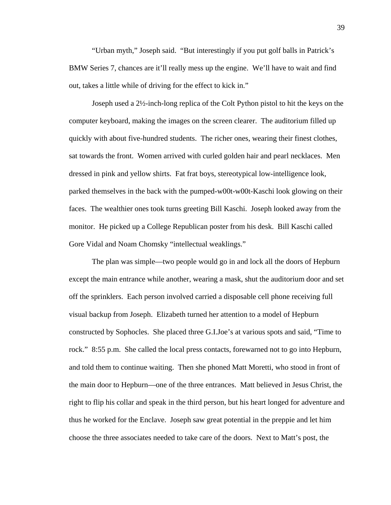"Urban myth," Joseph said. "But interestingly if you put golf balls in Patrick's BMW Series 7, chances are it'll really mess up the engine. We'll have to wait and find out, takes a little while of driving for the effect to kick in."

Joseph used a 2½-inch-long replica of the Colt Python pistol to hit the keys on the computer keyboard, making the images on the screen clearer. The auditorium filled up quickly with about five-hundred students. The richer ones, wearing their finest clothes, sat towards the front. Women arrived with curled golden hair and pearl necklaces. Men dressed in pink and yellow shirts. Fat frat boys, stereotypical low-intelligence look, parked themselves in the back with the pumped-w00t-w00t-Kaschi look glowing on their faces. The wealthier ones took turns greeting Bill Kaschi. Joseph looked away from the monitor. He picked up a College Republican poster from his desk. Bill Kaschi called Gore Vidal and Noam Chomsky "intellectual weaklings."

The plan was simple—two people would go in and lock all the doors of Hepburn except the main entrance while another, wearing a mask, shut the auditorium door and set off the sprinklers. Each person involved carried a disposable cell phone receiving full visual backup from Joseph. Elizabeth turned her attention to a model of Hepburn constructed by Sophocles. She placed three G.I.Joe's at various spots and said, "Time to rock." 8:55 p.m. She called the local press contacts, forewarned not to go into Hepburn, and told them to continue waiting. Then she phoned Matt Moretti, who stood in front of the main door to Hepburn—one of the three entrances. Matt believed in Jesus Christ, the right to flip his collar and speak in the third person, but his heart longed for adventure and thus he worked for the Enclave. Joseph saw great potential in the preppie and let him choose the three associates needed to take care of the doors. Next to Matt's post, the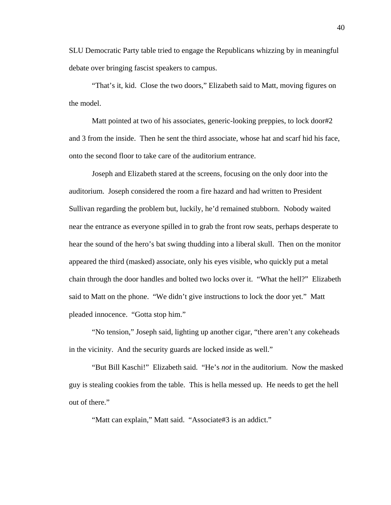SLU Democratic Party table tried to engage the Republicans whizzing by in meaningful debate over bringing fascist speakers to campus.

"That's it, kid. Close the two doors," Elizabeth said to Matt, moving figures on the model.

Matt pointed at two of his associates, generic-looking preppies, to lock door#2 and 3 from the inside. Then he sent the third associate, whose hat and scarf hid his face, onto the second floor to take care of the auditorium entrance.

Joseph and Elizabeth stared at the screens, focusing on the only door into the auditorium. Joseph considered the room a fire hazard and had written to President Sullivan regarding the problem but, luckily, he'd remained stubborn. Nobody waited near the entrance as everyone spilled in to grab the front row seats, perhaps desperate to hear the sound of the hero's bat swing thudding into a liberal skull. Then on the monitor appeared the third (masked) associate, only his eyes visible, who quickly put a metal chain through the door handles and bolted two locks over it. "What the hell?" Elizabeth said to Matt on the phone. "We didn't give instructions to lock the door yet." Matt pleaded innocence. "Gotta stop him."

"No tension," Joseph said, lighting up another cigar, "there aren't any cokeheads in the vicinity. And the security guards are locked inside as well."

"But Bill Kaschi!" Elizabeth said. "He's *not* in the auditorium. Now the masked guy is stealing cookies from the table. This is hella messed up. He needs to get the hell out of there."

"Matt can explain," Matt said. "Associate#3 is an addict."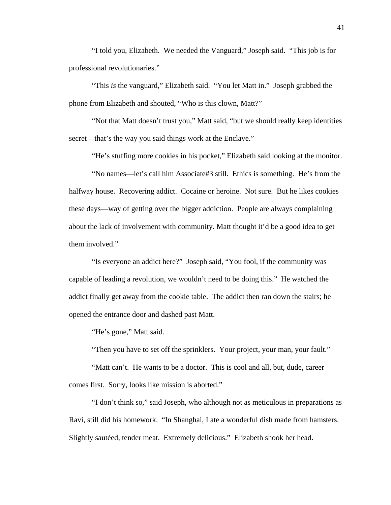"I told you, Elizabeth. We needed the Vanguard," Joseph said. "This job is for professional revolutionaries."

"This *is* the vanguard," Elizabeth said. "You let Matt in." Joseph grabbed the phone from Elizabeth and shouted, "Who is this clown, Matt?"

"Not that Matt doesn't trust you," Matt said, "but we should really keep identities secret—that's the way you said things work at the Enclave."

"He's stuffing more cookies in his pocket," Elizabeth said looking at the monitor.

 "No names—let's call him Associate#3 still. Ethics is something. He's from the halfway house. Recovering addict. Cocaine or heroine. Not sure. But he likes cookies these days—way of getting over the bigger addiction. People are always complaining about the lack of involvement with community. Matt thought it'd be a good idea to get them involved."

 "Is everyone an addict here?" Joseph said, "You fool, if the community was capable of leading a revolution, we wouldn't need to be doing this." He watched the addict finally get away from the cookie table. The addict then ran down the stairs; he opened the entrance door and dashed past Matt.

"He's gone," Matt said.

"Then you have to set off the sprinklers. Your project, your man, your fault."

 "Matt can't. He wants to be a doctor. This is cool and all, but, dude, career comes first. Sorry, looks like mission is aborted."

 "I don't think so," said Joseph, who although not as meticulous in preparations as Ravi, still did his homework. "In Shanghai, I ate a wonderful dish made from hamsters. Slightly sautéed, tender meat. Extremely delicious." Elizabeth shook her head.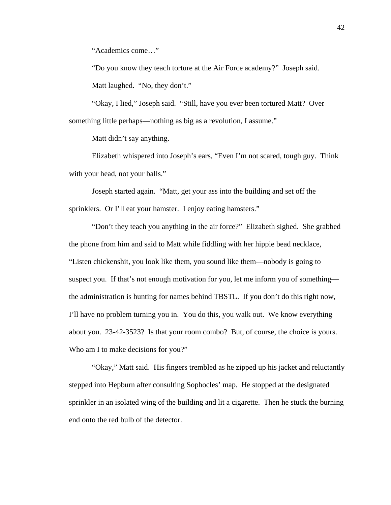"Academics come…"

 "Do you know they teach torture at the Air Force academy?" Joseph said. Matt laughed. "No, they don't."

 "Okay, I lied," Joseph said. "Still, have you ever been tortured Matt? Over something little perhaps—nothing as big as a revolution, I assume."

Matt didn't say anything.

 Elizabeth whispered into Joseph's ears, "Even I'm not scared, tough guy. Think with your head, not your balls."

 Joseph started again. "Matt, get your ass into the building and set off the sprinklers. Or I'll eat your hamster. I enjoy eating hamsters."

 "Don't they teach you anything in the air force?" Elizabeth sighed. She grabbed the phone from him and said to Matt while fiddling with her hippie bead necklace, "Listen chickenshit, you look like them, you sound like them—nobody is going to suspect you. If that's not enough motivation for you, let me inform you of something the administration is hunting for names behind TBSTL. If you don't do this right now, I'll have no problem turning you in. You do this, you walk out. We know everything about you. 23-42-3523? Is that your room combo? But, of course, the choice is yours. Who am I to make decisions for you?"

 "Okay," Matt said. His fingers trembled as he zipped up his jacket and reluctantly stepped into Hepburn after consulting Sophocles' map. He stopped at the designated sprinkler in an isolated wing of the building and lit a cigarette. Then he stuck the burning end onto the red bulb of the detector.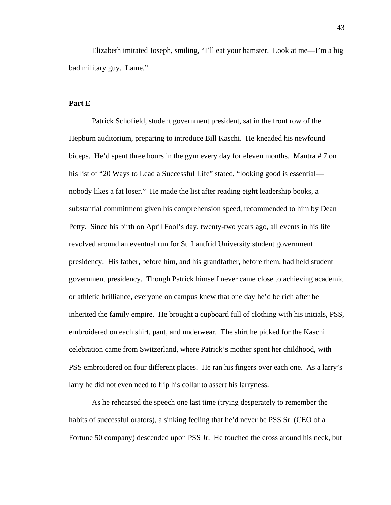Elizabeth imitated Joseph, smiling, "I'll eat your hamster. Look at me—I'm a big bad military guy. Lame."

## **Part E**

Patrick Schofield, student government president, sat in the front row of the Hepburn auditorium, preparing to introduce Bill Kaschi. He kneaded his newfound biceps. He'd spent three hours in the gym every day for eleven months. Mantra # 7 on his list of "20 Ways to Lead a Successful Life" stated, "looking good is essential nobody likes a fat loser." He made the list after reading eight leadership books, a substantial commitment given his comprehension speed, recommended to him by Dean Petty. Since his birth on April Fool's day, twenty-two years ago, all events in his life revolved around an eventual run for St. Lantfrid University student government presidency. His father, before him, and his grandfather, before them, had held student government presidency. Though Patrick himself never came close to achieving academic or athletic brilliance, everyone on campus knew that one day he'd be rich after he inherited the family empire. He brought a cupboard full of clothing with his initials, PSS, embroidered on each shirt, pant, and underwear. The shirt he picked for the Kaschi celebration came from Switzerland, where Patrick's mother spent her childhood, with PSS embroidered on four different places. He ran his fingers over each one. As a larry's larry he did not even need to flip his collar to assert his larryness.

As he rehearsed the speech one last time (trying desperately to remember the habits of successful orators), a sinking feeling that he'd never be PSS Sr. (CEO of a Fortune 50 company) descended upon PSS Jr. He touched the cross around his neck, but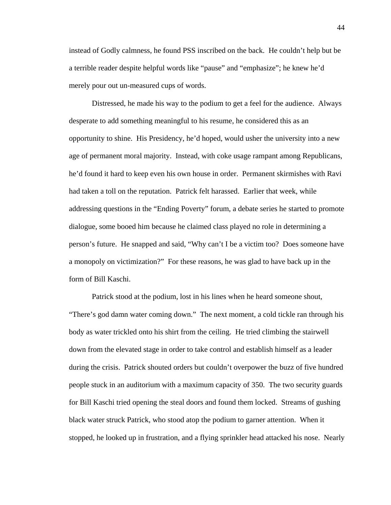instead of Godly calmness, he found PSS inscribed on the back. He couldn't help but be a terrible reader despite helpful words like "pause" and "emphasize"; he knew he'd merely pour out un-measured cups of words.

Distressed, he made his way to the podium to get a feel for the audience. Always desperate to add something meaningful to his resume, he considered this as an opportunity to shine. His Presidency, he'd hoped, would usher the university into a new age of permanent moral majority. Instead, with coke usage rampant among Republicans, he'd found it hard to keep even his own house in order. Permanent skirmishes with Ravi had taken a toll on the reputation. Patrick felt harassed. Earlier that week, while addressing questions in the "Ending Poverty" forum, a debate series he started to promote dialogue, some booed him because he claimed class played no role in determining a person's future. He snapped and said, "Why can't I be a victim too? Does someone have a monopoly on victimization?" For these reasons, he was glad to have back up in the form of Bill Kaschi.

Patrick stood at the podium, lost in his lines when he heard someone shout, "There's god damn water coming down." The next moment, a cold tickle ran through his body as water trickled onto his shirt from the ceiling. He tried climbing the stairwell down from the elevated stage in order to take control and establish himself as a leader during the crisis. Patrick shouted orders but couldn't overpower the buzz of five hundred people stuck in an auditorium with a maximum capacity of 350. The two security guards for Bill Kaschi tried opening the steal doors and found them locked. Streams of gushing black water struck Patrick, who stood atop the podium to garner attention. When it stopped, he looked up in frustration, and a flying sprinkler head attacked his nose. Nearly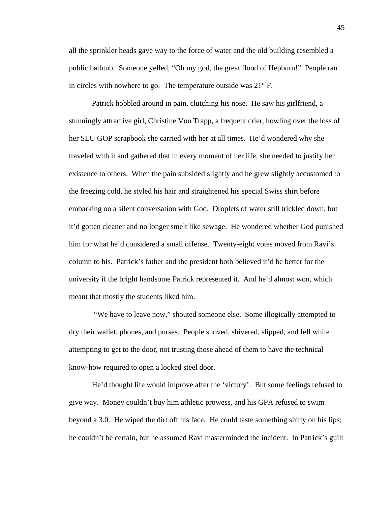all the sprinkler heads gave way to the force of water and the old building resembled a public bathtub. Someone yelled, "Oh my god, the great flood of Hepburn!" People ran in circles with nowhere to go. The temperature outside was 21° F.

Patrick hobbled around in pain, clutching his nose. He saw his girlfriend, a stunningly attractive girl, Christine Von Trapp, a frequent crier, howling over the loss of her SLU GOP scrapbook she carried with her at all times. He'd wondered why she traveled with it and gathered that in every moment of her life, she needed to justify her existence to others. When the pain subsided slightly and he grew slightly accustomed to the freezing cold, he styled his hair and straightened his special Swiss shirt before embarking on a silent conversation with God. Droplets of water still trickled down, but it'd gotten cleaner and no longer smelt like sewage. He wondered whether God punished him for what he'd considered a small offense. Twenty-eight votes moved from Ravi's column to his. Patrick's father and the president both believed it'd be better for the university if the bright handsome Patrick represented it. And he'd almost won, which meant that mostly the students liked him.

 "We have to leave now," shouted someone else. Some illogically attempted to dry their wallet, phones, and purses. People shoved, shivered, slipped, and fell while attempting to get to the door, not trusting those ahead of them to have the technical know-how required to open a locked steel door.

He'd thought life would improve after the 'victory'. But some feelings refused to give way. Money couldn't buy him athletic prowess, and his GPA refused to swim beyond a 3.0. He wiped the dirt off his face. He could taste something shitty on his lips; he couldn't be certain, but he assumed Ravi masterminded the incident. In Patrick's guilt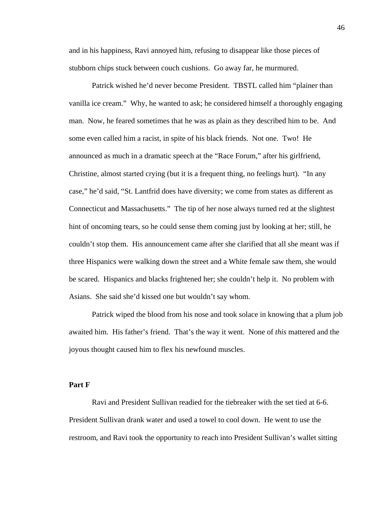and in his happiness, Ravi annoyed him, refusing to disappear like those pieces of stubborn chips stuck between couch cushions. Go away far, he murmured.

Patrick wished he'd never become President. TBSTL called him "plainer than vanilla ice cream." Why, he wanted to ask; he considered himself a thoroughly engaging man. Now, he feared sometimes that he was as plain as they described him to be. And some even called him a racist, in spite of his black friends. Not one. Two! He announced as much in a dramatic speech at the "Race Forum," after his girlfriend, Christine, almost started crying (but it is a frequent thing, no feelings hurt). "In any case," he'd said, "St. Lantfrid does have diversity; we come from states as different as Connecticut and Massachusetts." The tip of her nose always turned red at the slightest hint of oncoming tears, so he could sense them coming just by looking at her; still, he couldn't stop them. His announcement came after she clarified that all she meant was if three Hispanics were walking down the street and a White female saw them, she would be scared. Hispanics and blacks frightened her; she couldn't help it. No problem with Asians. She said she'd kissed one but wouldn't say whom.

Patrick wiped the blood from his nose and took solace in knowing that a plum job awaited him. His father's friend. That's the way it went. None of *this* mattered and the joyous thought caused him to flex his newfound muscles.

### **Part F**

Ravi and President Sullivan readied for the tiebreaker with the set tied at 6-6. President Sullivan drank water and used a towel to cool down. He went to use the restroom, and Ravi took the opportunity to reach into President Sullivan's wallet sitting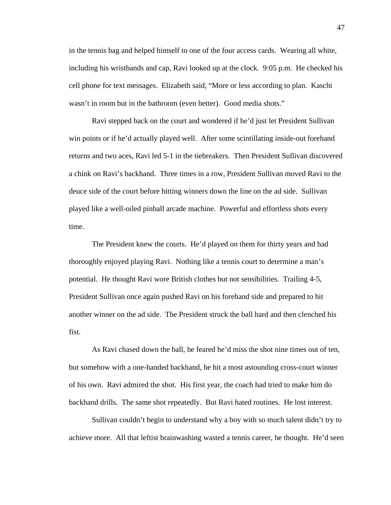in the tennis bag and helped himself to one of the four access cards. Wearing all white, including his wristbands and cap, Ravi looked up at the clock. 9:05 p.m. He checked his cell phone for text messages. Elizabeth said, "More or less according to plan. Kaschi wasn't in room but in the bathroom (even better). Good media shots."

Ravi stepped back on the court and wondered if he'd just let President Sullivan win points or if he'd actually played well. After some scintillating inside-out forehand returns and two aces, Ravi led 5-1 in the tiebreakers. Then President Sullivan discovered a chink on Ravi's backhand. Three times in a row, President Sullivan moved Ravi to the deuce side of the court before hitting winners down the line on the ad side. Sullivan played like a well-oiled pinball arcade machine. Powerful and effortless shots every time.

The President knew the courts. He'd played on them for thirty years and had thoroughly enjoyed playing Ravi. Nothing like a tennis court to determine a man's potential. He thought Ravi wore British clothes but not sensibilities. Trailing 4-5, President Sullivan once again pushed Ravi on his forehand side and prepared to hit another winner on the ad side. The President struck the ball hard and then clenched his fist.

As Ravi chased down the ball, he feared he'd miss the shot nine times out of ten, but somehow with a one-handed backhand, he hit a most astounding cross-court winner of his own. Ravi admired the shot. His first year, the coach had tried to make him do backhand drills. The same shot repeatedly. But Ravi hated routines. He lost interest.

Sullivan couldn't begin to understand why a boy with so much talent didn't try to achieve more. All that leftist brainwashing wasted a tennis career, he thought. He'd seen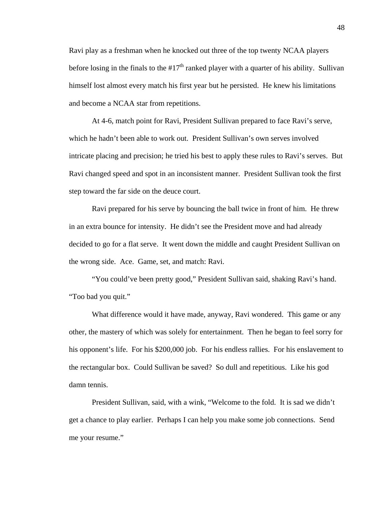Ravi play as a freshman when he knocked out three of the top twenty NCAA players before losing in the finals to the  $\#17<sup>th</sup>$  ranked player with a quarter of his ability. Sullivan himself lost almost every match his first year but he persisted. He knew his limitations and become a NCAA star from repetitions.

At 4-6, match point for Ravi, President Sullivan prepared to face Ravi's serve, which he hadn't been able to work out. President Sullivan's own serves involved intricate placing and precision; he tried his best to apply these rules to Ravi's serves. But Ravi changed speed and spot in an inconsistent manner. President Sullivan took the first step toward the far side on the deuce court.

Ravi prepared for his serve by bouncing the ball twice in front of him. He threw in an extra bounce for intensity. He didn't see the President move and had already decided to go for a flat serve. It went down the middle and caught President Sullivan on the wrong side. Ace. Game, set, and match: Ravi.

"You could've been pretty good," President Sullivan said, shaking Ravi's hand. "Too bad you quit."

What difference would it have made, anyway, Ravi wondered. This game or any other, the mastery of which was solely for entertainment. Then he began to feel sorry for his opponent's life. For his \$200,000 job. For his endless rallies. For his enslavement to the rectangular box. Could Sullivan be saved? So dull and repetitious. Like his god damn tennis.

President Sullivan, said, with a wink, "Welcome to the fold. It is sad we didn't get a chance to play earlier. Perhaps I can help you make some job connections. Send me your resume."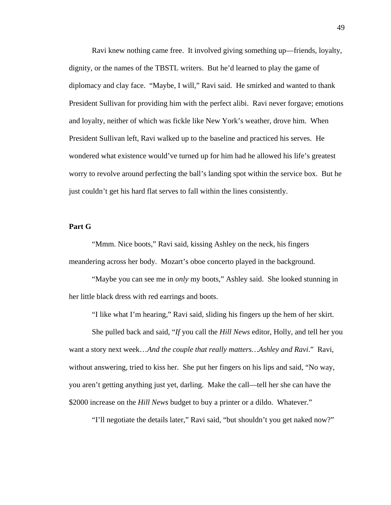Ravi knew nothing came free. It involved giving something up—friends, loyalty, dignity, or the names of the TBSTL writers. But he'd learned to play the game of diplomacy and clay face. "Maybe, I will," Ravi said. He smirked and wanted to thank President Sullivan for providing him with the perfect alibi. Ravi never forgave; emotions and loyalty, neither of which was fickle like New York's weather, drove him. When President Sullivan left, Ravi walked up to the baseline and practiced his serves. He wondered what existence would've turned up for him had he allowed his life's greatest worry to revolve around perfecting the ball's landing spot within the service box. But he just couldn't get his hard flat serves to fall within the lines consistently.

### **Part G**

"Mmm. Nice boots," Ravi said, kissing Ashley on the neck, his fingers meandering across her body. Mozart's oboe concerto played in the background.

 "Maybe you can see me in *only* my boots," Ashley said. She looked stunning in her little black dress with red earrings and boots.

"I like what I'm hearing," Ravi said, sliding his fingers up the hem of her skirt.

 She pulled back and said, "*If* you call the *Hill News* editor, Holly, and tell her you want a story next week…*And the couple that really matters…Ashley and Ravi*." Ravi, without answering, tried to kiss her. She put her fingers on his lips and said, "No way, you aren't getting anything just yet, darling. Make the call—tell her she can have the \$2000 increase on the *Hill News* budget to buy a printer or a dildo. Whatever."

"I'll negotiate the details later," Ravi said, "but shouldn't you get naked now?"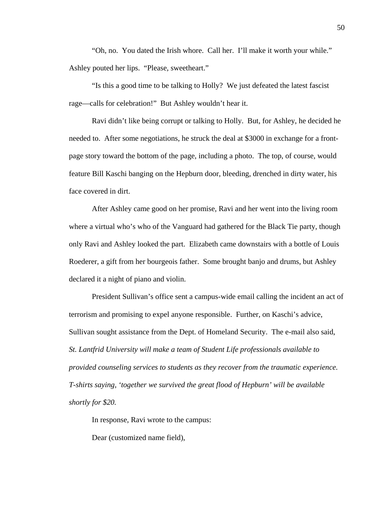"Oh, no. You dated the Irish whore. Call her. I'll make it worth your while." Ashley pouted her lips. "Please, sweetheart."

 "Is this a good time to be talking to Holly? We just defeated the latest fascist rage—calls for celebration!" But Ashley wouldn't hear it.

 Ravi didn't like being corrupt or talking to Holly. But, for Ashley, he decided he needed to. After some negotiations, he struck the deal at \$3000 in exchange for a frontpage story toward the bottom of the page, including a photo. The top, of course, would feature Bill Kaschi banging on the Hepburn door, bleeding, drenched in dirty water, his face covered in dirt.

 After Ashley came good on her promise, Ravi and her went into the living room where a virtual who's who of the Vanguard had gathered for the Black Tie party, though only Ravi and Ashley looked the part. Elizabeth came downstairs with a bottle of Louis Roederer, a gift from her bourgeois father. Some brought banjo and drums, but Ashley declared it a night of piano and violin.

 President Sullivan's office sent a campus-wide email calling the incident an act of terrorism and promising to expel anyone responsible. Further, on Kaschi's advice, Sullivan sought assistance from the Dept. of Homeland Security. The e-mail also said, *St. Lantfrid University will make a team of Student Life professionals available to provided counseling services to students as they recover from the traumatic experience. T-shirts saying, 'together we survived the great flood of Hepburn' will be available shortly for \$20.* 

In response, Ravi wrote to the campus:

Dear (customized name field),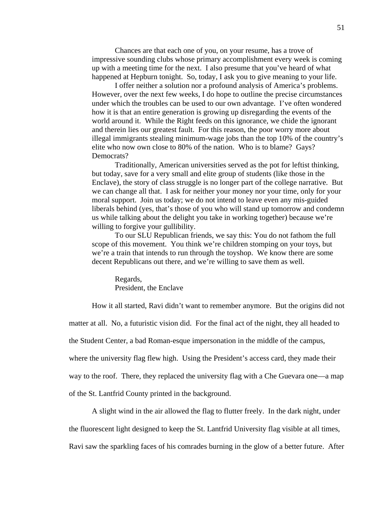Chances are that each one of you, on your resume, has a trove of impressive sounding clubs whose primary accomplishment every week is coming up with a meeting time for the next. I also presume that you've heard of what happened at Hepburn tonight. So, today, I ask you to give meaning to your life.

I offer neither a solution nor a profound analysis of America's problems. However, over the next few weeks, I do hope to outline the precise circumstances under which the troubles can be used to our own advantage. I've often wondered how it is that an entire generation is growing up disregarding the events of the world around it. While the Right feeds on this ignorance, we chide the ignorant and therein lies our greatest fault. For this reason, the poor worry more about illegal immigrants stealing minimum-wage jobs than the top 10% of the country's elite who now own close to 80% of the nation. Who is to blame? Gays? Democrats?

Traditionally, American universities served as the pot for leftist thinking, but today, save for a very small and elite group of students (like those in the Enclave), the story of class struggle is no longer part of the college narrative. But we can change all that. I ask for neither your money nor your time, only for your moral support. Join us today; we do not intend to leave even any mis-guided liberals behind (yes, that's those of you who will stand up tomorrow and condemn us while talking about the delight you take in working together) because we're willing to forgive your gullibility.

To our SLU Republican friends, we say this: You do not fathom the full scope of this movement. You think we're children stomping on your toys, but we're a train that intends to run through the toyshop. We know there are some decent Republicans out there, and we're willing to save them as well.

Regards, President, the Enclave

How it all started, Ravi didn't want to remember anymore. But the origins did not

matter at all. No, a futuristic vision did. For the final act of the night, they all headed to

the Student Center, a bad Roman-esque impersonation in the middle of the campus,

where the university flag flew high. Using the President's access card, they made their

way to the roof. There, they replaced the university flag with a Che Guevara one—a map

of the St. Lantfrid County printed in the background.

A slight wind in the air allowed the flag to flutter freely. In the dark night, under

the fluorescent light designed to keep the St. Lantfrid University flag visible at all times,

Ravi saw the sparkling faces of his comrades burning in the glow of a better future. After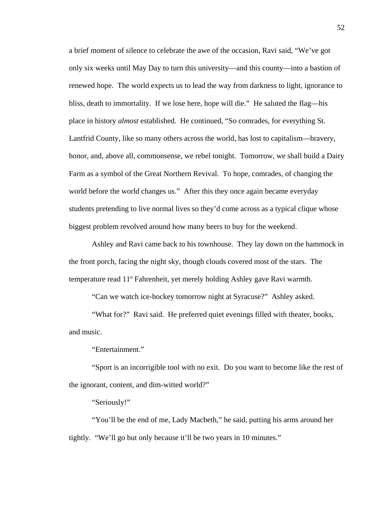a brief moment of silence to celebrate the awe of the occasion, Ravi said, "We've got only six weeks until May Day to turn this university—and this county—into a bastion of renewed hope. The world expects us to lead the way from darkness to light, ignorance to bliss, death to immortality. If we lose here, hope will die." He saluted the flag—his place in history *almost* established. He continued, "So comrades, for everything St. Lantfrid County, like so many others across the world, has lost to capitalism—bravery, honor, and, above all, commonsense, we rebel tonight. Tomorrow, we shall build a Dairy Farm as a symbol of the Great Northern Revival. To hope, comrades, of changing the world before the world changes us." After this they once again became everyday students pretending to live normal lives so they'd come across as a typical clique whose biggest problem revolved around how many beers to buy for the weekend.

 Ashley and Ravi came back to his townhouse. They lay down on the hammock in the front porch, facing the night sky, though clouds covered most of the stars. The temperature read 11º Fahrenheit, yet merely holding Ashley gave Ravi warmth.

"Can we watch ice-hockey tomorrow night at Syracuse?" Ashley asked.

"What for?" Ravi said. He preferred quiet evenings filled with theater, books, and music.

"Entertainment."

"Sport is an incorrigible tool with no exit. Do you want to become like the rest of the ignorant, content, and dim-witted world?"

"Seriously!"

"You'll be the end of me, Lady Macbeth," he said, putting his arms around her tightly. "We'll go but only because it'll be two years in 10 minutes."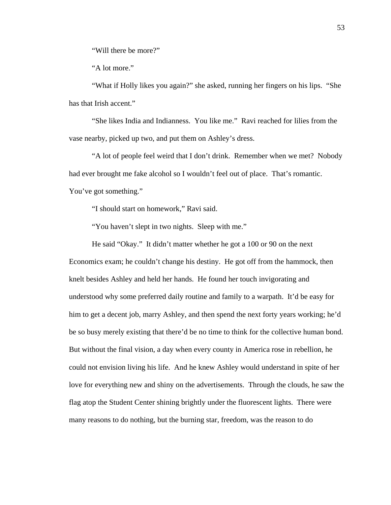"Will there be more?"

"A lot more."

"What if Holly likes you again?" she asked, running her fingers on his lips. "She has that Irish accent."

"She likes India and Indianness. You like me." Ravi reached for lilies from the vase nearby, picked up two, and put them on Ashley's dress.

"A lot of people feel weird that I don't drink. Remember when we met? Nobody had ever brought me fake alcohol so I wouldn't feel out of place. That's romantic. You've got something."

"I should start on homework," Ravi said.

"You haven't slept in two nights. Sleep with me."

He said "Okay." It didn't matter whether he got a 100 or 90 on the next Economics exam; he couldn't change his destiny. He got off from the hammock, then knelt besides Ashley and held her hands. He found her touch invigorating and understood why some preferred daily routine and family to a warpath. It'd be easy for him to get a decent job, marry Ashley, and then spend the next forty years working; he'd be so busy merely existing that there'd be no time to think for the collective human bond. But without the final vision, a day when every county in America rose in rebellion, he could not envision living his life. And he knew Ashley would understand in spite of her love for everything new and shiny on the advertisements. Through the clouds, he saw the flag atop the Student Center shining brightly under the fluorescent lights. There were many reasons to do nothing, but the burning star, freedom, was the reason to do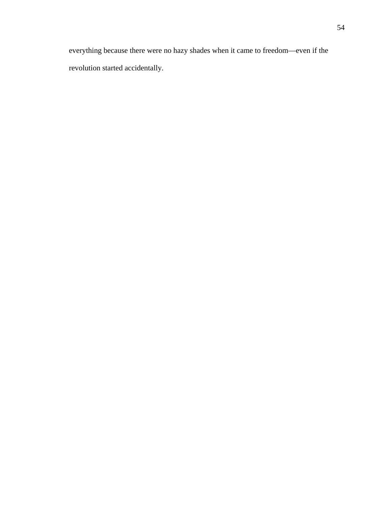everything because there were no hazy shades when it came to freedom—even if the revolution started accidentally.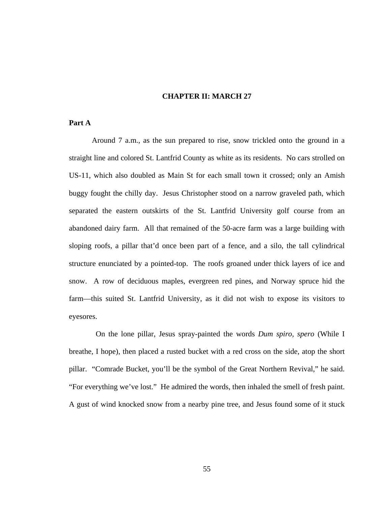## **CHAPTER II: MARCH 27**

# **Part A**

Around 7 a.m., as the sun prepared to rise, snow trickled onto the ground in a straight line and colored St. Lantfrid County as white as its residents. No cars strolled on US-11, which also doubled as Main St for each small town it crossed; only an Amish buggy fought the chilly day. Jesus Christopher stood on a narrow graveled path, which separated the eastern outskirts of the St. Lantfrid University golf course from an abandoned dairy farm. All that remained of the 50-acre farm was a large building with sloping roofs, a pillar that'd once been part of a fence, and a silo, the tall cylindrical structure enunciated by a pointed-top. The roofs groaned under thick layers of ice and snow. A row of deciduous maples, evergreen red pines, and Norway spruce hid the farm—this suited St. Lantfrid University, as it did not wish to expose its visitors to eyesores.

 On the lone pillar, Jesus spray-painted the words *Dum spiro, spero* (While I breathe, I hope), then placed a rusted bucket with a red cross on the side, atop the short pillar. "Comrade Bucket, you'll be the symbol of the Great Northern Revival," he said. "For everything we've lost." He admired the words, then inhaled the smell of fresh paint. A gust of wind knocked snow from a nearby pine tree, and Jesus found some of it stuck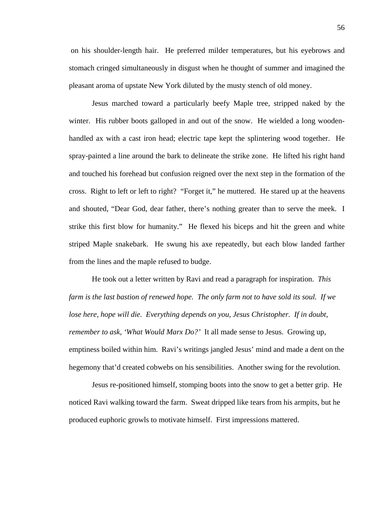on his shoulder-length hair. He preferred milder temperatures, but his eyebrows and stomach cringed simultaneously in disgust when he thought of summer and imagined the pleasant aroma of upstate New York diluted by the musty stench of old money.

Jesus marched toward a particularly beefy Maple tree, stripped naked by the winter. His rubber boots galloped in and out of the snow. He wielded a long woodenhandled ax with a cast iron head; electric tape kept the splintering wood together. He spray-painted a line around the bark to delineate the strike zone. He lifted his right hand and touched his forehead but confusion reigned over the next step in the formation of the cross. Right to left or left to right? "Forget it," he muttered. He stared up at the heavens and shouted, "Dear God, dear father, there's nothing greater than to serve the meek. I strike this first blow for humanity." He flexed his biceps and hit the green and white striped Maple snakebark. He swung his axe repeatedly, but each blow landed farther from the lines and the maple refused to budge.

He took out a letter written by Ravi and read a paragraph for inspiration. *This farm is the last bastion of renewed hope. The only farm not to have sold its soul. If we lose here, hope will die. Everything depends on you, Jesus Christopher. If in doubt, remember to ask, 'What Would Marx Do?'* It all made sense to Jesus. Growing up, emptiness boiled within him. Ravi's writings jangled Jesus' mind and made a dent on the hegemony that'd created cobwebs on his sensibilities. Another swing for the revolution.

Jesus re-positioned himself, stomping boots into the snow to get a better grip. He noticed Ravi walking toward the farm. Sweat dripped like tears from his armpits, but he produced euphoric growls to motivate himself. First impressions mattered.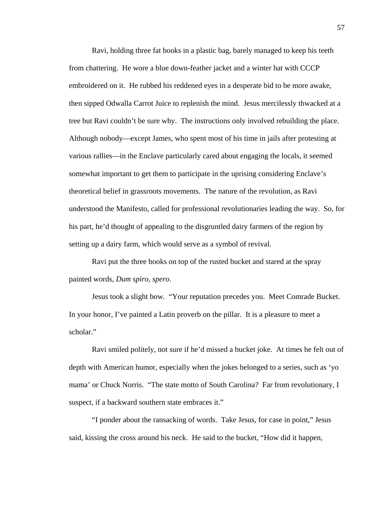Ravi, holding three fat books in a plastic bag, barely managed to keep his teeth from chattering. He wore a blue down-feather jacket and a winter hat with CCCP embroidered on it. He rubbed his reddened eyes in a desperate bid to be more awake, then sipped Odwalla Carrot Juice to replenish the mind. Jesus mercilessly thwacked at a tree but Ravi couldn't be sure why. The instructions only involved rebuilding the place. Although nobody—except James, who spent most of his time in jails after protesting at various rallies—in the Enclave particularly cared about engaging the locals, it seemed somewhat important to get them to participate in the uprising considering Enclave's theoretical belief in grassroots movements. The nature of the revolution, as Ravi understood the Manifesto, called for professional revolutionaries leading the way. So, for his part, he'd thought of appealing to the disgruntled dairy farmers of the region by setting up a dairy farm, which would serve as a symbol of revival.

Ravi put the three books on top of the rusted bucket and stared at the spray painted words, *Dum spiro, spero*.

Jesus took a slight bow. "Your reputation precedes you. Meet Comrade Bucket. In your honor, I've painted a Latin proverb on the pillar. It is a pleasure to meet a scholar."

Ravi smiled politely, not sure if he'd missed a bucket joke. At times he felt out of depth with American humor, especially when the jokes belonged to a series, such as 'yo mama' or Chuck Norris. "The state motto of South Carolina? Far from revolutionary, I suspect, if a backward southern state embraces it."

"I ponder about the ransacking of words. Take Jesus, for case in point," Jesus said, kissing the cross around his neck. He said to the bucket, "How did it happen,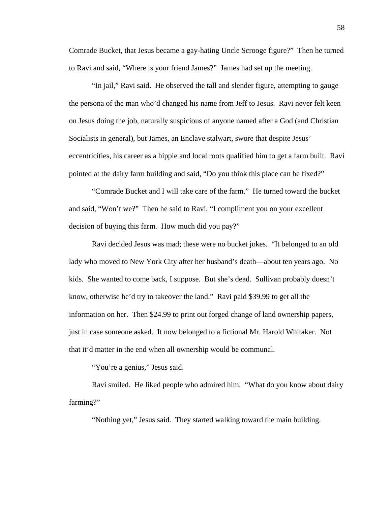Comrade Bucket, that Jesus became a gay-hating Uncle Scrooge figure?" Then he turned to Ravi and said, "Where is your friend James?" James had set up the meeting.

"In jail," Ravi said. He observed the tall and slender figure, attempting to gauge the persona of the man who'd changed his name from Jeff to Jesus. Ravi never felt keen on Jesus doing the job, naturally suspicious of anyone named after a God (and Christian Socialists in general), but James, an Enclave stalwart, swore that despite Jesus' eccentricities, his career as a hippie and local roots qualified him to get a farm built. Ravi pointed at the dairy farm building and said, "Do you think this place can be fixed?"

"Comrade Bucket and I will take care of the farm." He turned toward the bucket and said, "Won't we?" Then he said to Ravi, "I compliment you on your excellent decision of buying this farm. How much did you pay?"

Ravi decided Jesus was mad; these were no bucket jokes. "It belonged to an old lady who moved to New York City after her husband's death—about ten years ago. No kids. She wanted to come back, I suppose. But she's dead. Sullivan probably doesn't know, otherwise he'd try to takeover the land." Ravi paid \$39.99 to get all the information on her. Then \$24.99 to print out forged change of land ownership papers, just in case someone asked. It now belonged to a fictional Mr. Harold Whitaker. Not that it'd matter in the end when all ownership would be communal.

"You're a genius," Jesus said.

Ravi smiled. He liked people who admired him. "What do you know about dairy farming?"

"Nothing yet," Jesus said. They started walking toward the main building.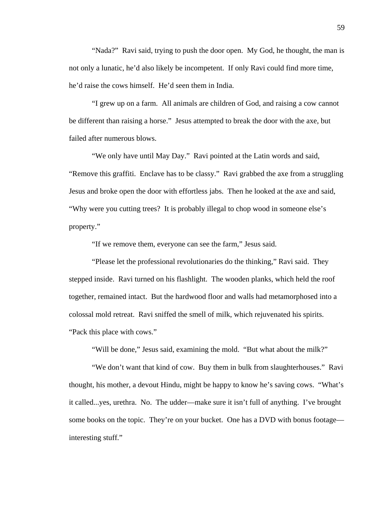"Nada?" Ravi said, trying to push the door open. My God, he thought, the man is not only a lunatic, he'd also likely be incompetent. If only Ravi could find more time, he'd raise the cows himself. He'd seen them in India.

"I grew up on a farm. All animals are children of God, and raising a cow cannot be different than raising a horse." Jesus attempted to break the door with the axe, but failed after numerous blows.

"We only have until May Day." Ravi pointed at the Latin words and said, "Remove this graffiti. Enclave has to be classy." Ravi grabbed the axe from a struggling Jesus and broke open the door with effortless jabs. Then he looked at the axe and said, "Why were you cutting trees? It is probably illegal to chop wood in someone else's property."

"If we remove them, everyone can see the farm," Jesus said.

"Please let the professional revolutionaries do the thinking," Ravi said. They stepped inside. Ravi turned on his flashlight. The wooden planks, which held the roof together, remained intact. But the hardwood floor and walls had metamorphosed into a colossal mold retreat. Ravi sniffed the smell of milk, which rejuvenated his spirits. "Pack this place with cows."

"Will be done," Jesus said, examining the mold. "But what about the milk?"

"We don't want that kind of cow. Buy them in bulk from slaughterhouses." Ravi thought, his mother, a devout Hindu, might be happy to know he's saving cows. "What's it called...yes, urethra. No. The udder—make sure it isn't full of anything. I've brought some books on the topic. They're on your bucket. One has a DVD with bonus footage interesting stuff."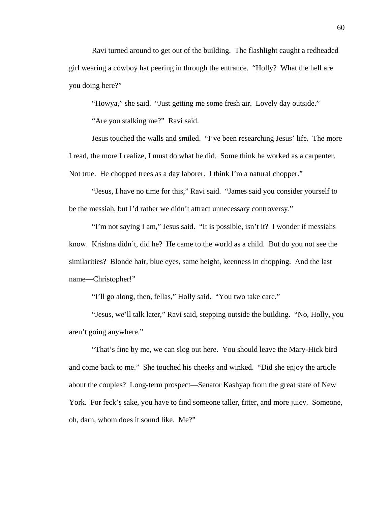Ravi turned around to get out of the building. The flashlight caught a redheaded girl wearing a cowboy hat peering in through the entrance. "Holly? What the hell are you doing here?"

"Howya," she said. "Just getting me some fresh air. Lovely day outside."

"Are you stalking me?" Ravi said.

Jesus touched the walls and smiled. "I've been researching Jesus' life. The more I read, the more I realize, I must do what he did. Some think he worked as a carpenter. Not true. He chopped trees as a day laborer. I think I'm a natural chopper."

"Jesus, I have no time for this," Ravi said. "James said you consider yourself to be the messiah, but I'd rather we didn't attract unnecessary controversy."

"I'm not saying I am," Jesus said. "It is possible, isn't it? I wonder if messiahs know. Krishna didn't, did he? He came to the world as a child. But do you not see the similarities? Blonde hair, blue eyes, same height, keenness in chopping. And the last name—Christopher!"

"I'll go along, then, fellas," Holly said. "You two take care."

"Jesus, we'll talk later," Ravi said, stepping outside the building. "No, Holly, you aren't going anywhere."

"That's fine by me, we can slog out here. You should leave the Mary-Hick bird and come back to me." She touched his cheeks and winked. "Did she enjoy the article about the couples? Long-term prospect—Senator Kashyap from the great state of New York. For feck's sake, you have to find someone taller, fitter, and more juicy. Someone, oh, darn, whom does it sound like. Me?"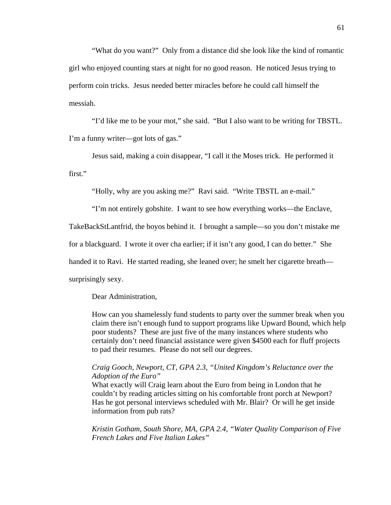"What do you want?" Only from a distance did she look like the kind of romantic girl who enjoyed counting stars at night for no good reason. He noticed Jesus trying to perform coin tricks. Jesus needed better miracles before he could call himself the messiah.

"I'd like me to be your mot," she said. "But I also want to be writing for TBSTL. I'm a funny writer—got lots of gas."

Jesus said, making a coin disappear, "I call it the Moses trick. He performed it first."

"Holly, why are you asking me?" Ravi said. "Write TBSTL an e-mail."

"I'm not entirely gobshite. I want to see how everything works—the Enclave,

TakeBackStLantfrid, the boyos behind it. I brought a sample—so you don't mistake me

for a blackguard. I wrote it over cha earlier; if it isn't any good, I can do better." She

handed it to Ravi. He started reading, she leaned over; he smelt her cigarette breath—

surprisingly sexy.

## Dear Administration,

How can you shamelessly fund students to party over the summer break when you claim there isn't enough fund to support programs like Upward Bound, which help poor students? These are just five of the many instances where students who certainly don't need financial assistance were given \$4500 each for fluff projects to pad their resumes. Please do not sell our degrees.

## *Craig Gooch, Newport, CT, GPA 2.3, "United Kingdom's Reluctance over the Adoption of the Euro"*

What exactly will Craig learn about the Euro from being in London that he couldn't by reading articles sitting on his comfortable front porch at Newport? Has he got personal interviews scheduled with Mr. Blair? Or will he get inside information from pub rats?

*Kristin Gotham, South Shore, MA, GPA 2.4, "Water Quality Comparison of Five French Lakes and Five Italian Lakes"*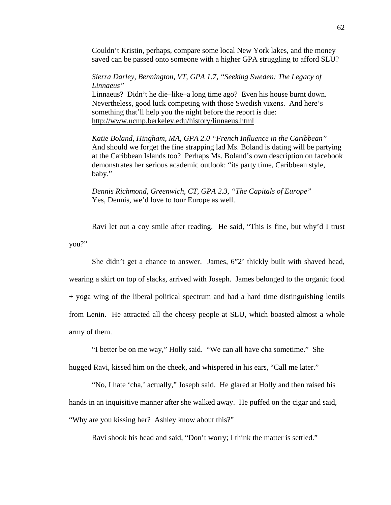Couldn't Kristin, perhaps, compare some local New York lakes, and the money saved can be passed onto someone with a higher GPA struggling to afford SLU?

*Sierra Darley, Bennington, VT, GPA 1.7, "Seeking Sweden: The Legacy of Linnaeus"*  Linnaeus? Didn't he die–like–a long time ago? Even his house burnt down. Nevertheless, good luck competing with those Swedish vixens. And here's something that'll help you the night before the report is due: <http://www.ucmp.berkeley.edu/history/linnaeus.html>

*Katie Boland, Hingham, MA, GPA 2.0 "French Influence in the Caribbean"*  And should we forget the fine strapping lad Ms. Boland is dating will be partying at the Caribbean Islands too? Perhaps Ms. Boland's own description on facebook demonstrates her serious academic outlook: "its party time, Caribbean style, baby."

*Dennis Richmond, Greenwich, CT, GPA 2.3, "The Capitals of Europe"*  Yes, Dennis, we'd love to tour Europe as well.

Ravi let out a coy smile after reading. He said, "This is fine, but why'd I trust you?"

She didn't get a chance to answer. James, 6"2' thickly built with shaved head, wearing a skirt on top of slacks, arrived with Joseph. James belonged to the organic food + yoga wing of the liberal political spectrum and had a hard time distinguishing lentils from Lenin. He attracted all the cheesy people at SLU, which boasted almost a whole army of them.

"I better be on me way," Holly said. "We can all have cha sometime." She

hugged Ravi, kissed him on the cheek, and whispered in his ears, "Call me later."

"No, I hate 'cha,' actually," Joseph said. He glared at Holly and then raised his hands in an inquisitive manner after she walked away. He puffed on the cigar and said, "Why are you kissing her? Ashley know about this?"

Ravi shook his head and said, "Don't worry; I think the matter is settled."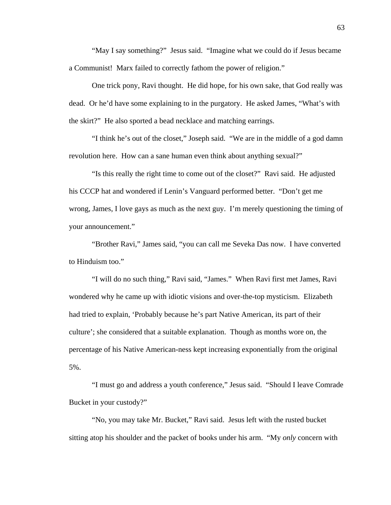"May I say something?" Jesus said. "Imagine what we could do if Jesus became a Communist! Marx failed to correctly fathom the power of religion."

One trick pony, Ravi thought. He did hope, for his own sake, that God really was dead. Or he'd have some explaining to in the purgatory. He asked James, "What's with the skirt?" He also sported a bead necklace and matching earrings.

 "I think he's out of the closet," Joseph said. "We are in the middle of a god damn revolution here. How can a sane human even think about anything sexual?"

 "Is this really the right time to come out of the closet?" Ravi said. He adjusted his CCCP hat and wondered if Lenin's Vanguard performed better. "Don't get me wrong, James, I love gays as much as the next guy. I'm merely questioning the timing of your announcement."

 "Brother Ravi," James said, "you can call me Seveka Das now. I have converted to Hinduism too."

 "I will do no such thing," Ravi said, "James." When Ravi first met James, Ravi wondered why he came up with idiotic visions and over-the-top mysticism. Elizabeth had tried to explain, 'Probably because he's part Native American, its part of their culture'; she considered that a suitable explanation. Though as months wore on, the percentage of his Native American-ness kept increasing exponentially from the original 5%.

 "I must go and address a youth conference," Jesus said. "Should I leave Comrade Bucket in your custody?"

 "No, you may take Mr. Bucket," Ravi said. Jesus left with the rusted bucket sitting atop his shoulder and the packet of books under his arm. "My *only* concern with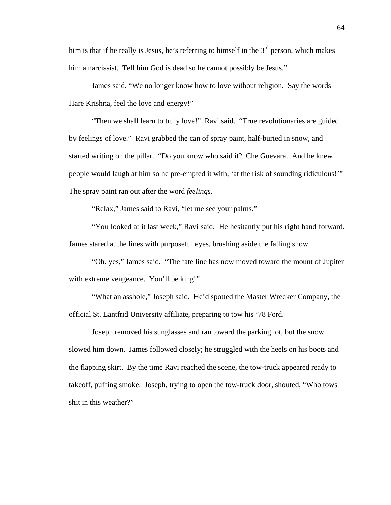him is that if he really is Jesus, he's referring to himself in the  $3<sup>rd</sup>$  person, which makes him a narcissist. Tell him God is dead so he cannot possibly be Jesus."

James said, "We no longer know how to love without religion. Say the words Hare Krishna, feel the love and energy!"

 "Then we shall learn to truly love!" Ravi said. "True revolutionaries are guided by feelings of love." Ravi grabbed the can of spray paint, half-buried in snow, and started writing on the pillar. "Do you know who said it? Che Guevara. And he knew people would laugh at him so he pre-empted it with, 'at the risk of sounding ridiculous!'" The spray paint ran out after the word *feelings.*

"Relax," James said to Ravi, "let me see your palms."

 "You looked at it last week," Ravi said. He hesitantly put his right hand forward. James stared at the lines with purposeful eyes, brushing aside the falling snow.

"Oh, yes," James said. "The fate line has now moved toward the mount of Jupiter with extreme vengeance. You'll be king!"

"What an asshole," Joseph said. He'd spotted the Master Wrecker Company, the official St. Lantfrid University affiliate, preparing to tow his '78 Ford.

Joseph removed his sunglasses and ran toward the parking lot, but the snow slowed him down. James followed closely; he struggled with the heels on his boots and the flapping skirt. By the time Ravi reached the scene, the tow-truck appeared ready to takeoff, puffing smoke. Joseph, trying to open the tow-truck door, shouted, "Who tows shit in this weather?"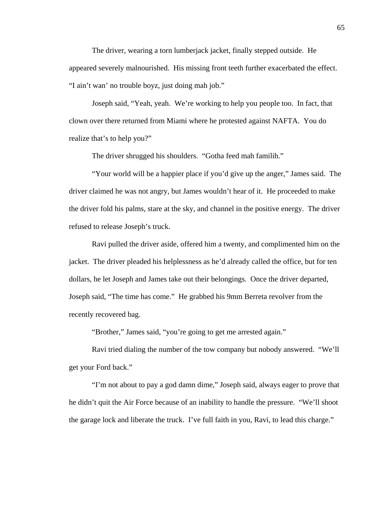The driver, wearing a torn lumberjack jacket, finally stepped outside. He appeared severely malnourished. His missing front teeth further exacerbated the effect. "I ain't wan' no trouble boyz, just doing mah job."

 Joseph said, "Yeah, yeah. We're working to help you people too. In fact, that clown over there returned from Miami where he protested against NAFTA. You do realize that's to help you?"

The driver shrugged his shoulders. "Gotha feed mah familih."

"Your world will be a happier place if you'd give up the anger," James said. The driver claimed he was not angry, but James wouldn't hear of it. He proceeded to make the driver fold his palms, stare at the sky, and channel in the positive energy. The driver refused to release Joseph's truck.

Ravi pulled the driver aside, offered him a twenty, and complimented him on the jacket. The driver pleaded his helplessness as he'd already called the office, but for ten dollars, he let Joseph and James take out their belongings. Once the driver departed, Joseph said, "The time has come." He grabbed his 9mm Berreta revolver from the recently recovered bag.

"Brother," James said, "you're going to get me arrested again."

 Ravi tried dialing the number of the tow company but nobody answered. "We'll get your Ford back."

 "I'm not about to pay a god damn dime," Joseph said, always eager to prove that he didn't quit the Air Force because of an inability to handle the pressure. "We'll shoot the garage lock and liberate the truck. I've full faith in you, Ravi, to lead this charge."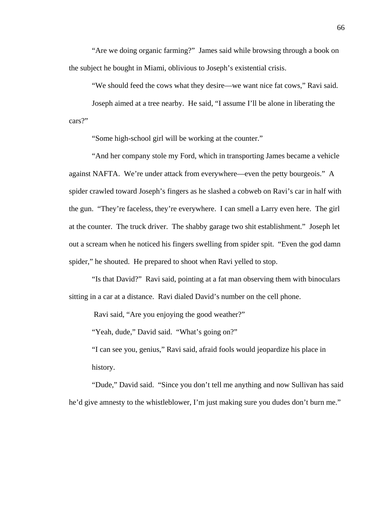"Are we doing organic farming?" James said while browsing through a book on the subject he bought in Miami, oblivious to Joseph's existential crisis.

"We should feed the cows what they desire—we want nice fat cows," Ravi said.

 Joseph aimed at a tree nearby. He said, "I assume I'll be alone in liberating the cars?"

"Some high-school girl will be working at the counter."

 "And her company stole my Ford, which in transporting James became a vehicle against NAFTA. We're under attack from everywhere—even the petty bourgeois." A spider crawled toward Joseph's fingers as he slashed a cobweb on Ravi's car in half with the gun. "They're faceless, they're everywhere. I can smell a Larry even here. The girl at the counter. The truck driver. The shabby garage two shit establishment." Joseph let out a scream when he noticed his fingers swelling from spider spit. "Even the god damn spider," he shouted. He prepared to shoot when Ravi yelled to stop.

 "Is that David?" Ravi said, pointing at a fat man observing them with binoculars sitting in a car at a distance. Ravi dialed David's number on the cell phone.

Ravi said, "Are you enjoying the good weather?"

"Yeah, dude," David said. "What's going on?"

"I can see you, genius," Ravi said, afraid fools would jeopardize his place in history.

"Dude," David said. "Since you don't tell me anything and now Sullivan has said he'd give amnesty to the whistleblower, I'm just making sure you dudes don't burn me."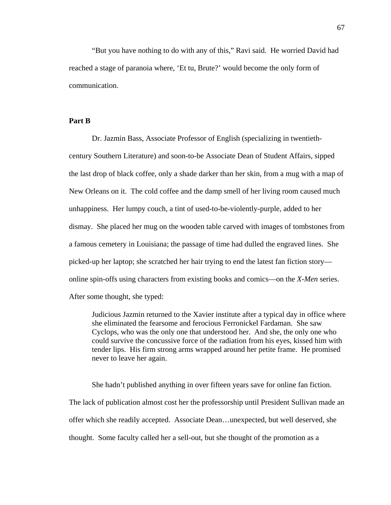"But you have nothing to do with any of this," Ravi said. He worried David had reached a stage of paranoia where, 'Et tu, Brute?' would become the only form of communication.

### **Part B**

Dr. Jazmin Bass, Associate Professor of English (specializing in twentiethcentury Southern Literature) and soon-to-be Associate Dean of Student Affairs, sipped the last drop of black coffee, only a shade darker than her skin, from a mug with a map of New Orleans on it. The cold coffee and the damp smell of her living room caused much unhappiness. Her lumpy couch, a tint of used-to-be-violently-purple, added to her dismay. She placed her mug on the wooden table carved with images of tombstones from a famous cemetery in Louisiana; the passage of time had dulled the engraved lines. She picked-up her laptop; she scratched her hair trying to end the latest fan fiction story online spin-offs using characters from existing books and comics—on the *X-Men* series. After some thought, she typed:

Judicious Jazmin returned to the Xavier institute after a typical day in office where she eliminated the fearsome and ferocious Ferronickel Fardaman. She saw Cyclops, who was the only one that understood her. And she, the only one who could survive the concussive force of the radiation from his eyes, kissed him with tender lips. His firm strong arms wrapped around her petite frame. He promised never to leave her again.

She hadn't published anything in over fifteen years save for online fan fiction. The lack of publication almost cost her the professorship until President Sullivan made an offer which she readily accepted. Associate Dean…unexpected, but well deserved, she thought. Some faculty called her a sell-out, but she thought of the promotion as a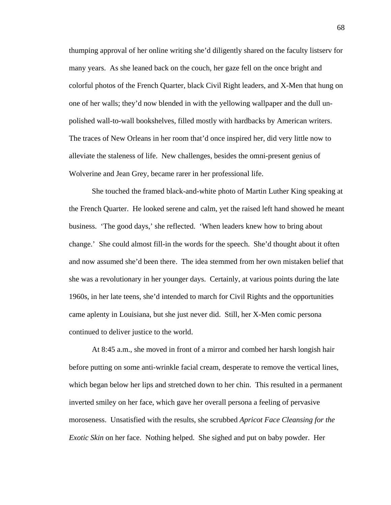thumping approval of her online writing she'd diligently shared on the faculty listserv for many years. As she leaned back on the couch, her gaze fell on the once bright and colorful photos of the French Quarter, black Civil Right leaders, and X-Men that hung on one of her walls; they'd now blended in with the yellowing wallpaper and the dull unpolished wall-to-wall bookshelves, filled mostly with hardbacks by American writers. The traces of New Orleans in her room that'd once inspired her, did very little now to alleviate the staleness of life. New challenges, besides the omni-present genius of Wolverine and Jean Grey, became rarer in her professional life.

 She touched the framed black-and-white photo of Martin Luther King speaking at the French Quarter. He looked serene and calm, yet the raised left hand showed he meant business. 'The good days,' she reflected. 'When leaders knew how to bring about change.' She could almost fill-in the words for the speech. She'd thought about it often and now assumed she'd been there. The idea stemmed from her own mistaken belief that she was a revolutionary in her younger days. Certainly, at various points during the late 1960s, in her late teens, she'd intended to march for Civil Rights and the opportunities came aplenty in Louisiana, but she just never did. Still, her X-Men comic persona continued to deliver justice to the world.

 At 8:45 a.m., she moved in front of a mirror and combed her harsh longish hair before putting on some anti-wrinkle facial cream, desperate to remove the vertical lines, which began below her lips and stretched down to her chin. This resulted in a permanent inverted smiley on her face, which gave her overall persona a feeling of pervasive moroseness. Unsatisfied with the results, she scrubbed *Apricot Face Cleansing for the Exotic Skin* on her face. Nothing helped. She sighed and put on baby powder. Her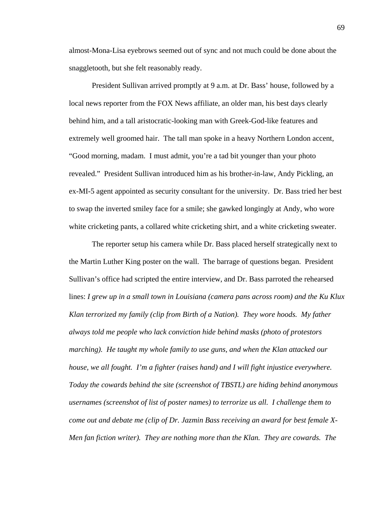almost-Mona-Lisa eyebrows seemed out of sync and not much could be done about the snaggletooth, but she felt reasonably ready.

 President Sullivan arrived promptly at 9 a.m. at Dr. Bass' house, followed by a local news reporter from the FOX News affiliate, an older man, his best days clearly behind him, and a tall aristocratic-looking man with Greek-God-like features and extremely well groomed hair. The tall man spoke in a heavy Northern London accent, "Good morning, madam. I must admit, you're a tad bit younger than your photo revealed." President Sullivan introduced him as his brother-in-law, Andy Pickling, an ex-MI-5 agent appointed as security consultant for the university. Dr. Bass tried her best to swap the inverted smiley face for a smile; she gawked longingly at Andy, who wore white cricketing pants, a collared white cricketing shirt, and a white cricketing sweater.

 The reporter setup his camera while Dr. Bass placed herself strategically next to the Martin Luther King poster on the wall. The barrage of questions began. President Sullivan's office had scripted the entire interview, and Dr. Bass parroted the rehearsed lines: *I grew up in a small town in Louisiana (camera pans across room) and the Ku Klux Klan terrorized my family (clip from Birth of a Nation). They wore hoods. My father always told me people who lack conviction hide behind masks (photo of protestors marching). He taught my whole family to use guns, and when the Klan attacked our house, we all fought. I'm a fighter (raises hand) and I will fight injustice everywhere. Today the cowards behind the site (screenshot of TBSTL) are hiding behind anonymous usernames (screenshot of list of poster names) to terrorize us all. I challenge them to come out and debate me (clip of Dr. Jazmin Bass receiving an award for best female X-Men fan fiction writer). They are nothing more than the Klan. They are cowards. The*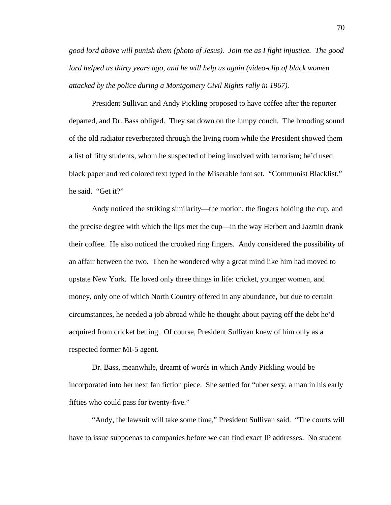*good lord above will punish them (photo of Jesus). Join me as I fight injustice. The good lord helped us thirty years ago, and he will help us again (video-clip of black women attacked by the police during a Montgomery Civil Rights rally in 1967).* 

President Sullivan and Andy Pickling proposed to have coffee after the reporter departed, and Dr. Bass obliged. They sat down on the lumpy couch. The brooding sound of the old radiator reverberated through the living room while the President showed them a list of fifty students, whom he suspected of being involved with terrorism; he'd used black paper and red colored text typed in the Miserable font set. "Communist Blacklist," he said. "Get it?"

Andy noticed the striking similarity—the motion, the fingers holding the cup, and the precise degree with which the lips met the cup—in the way Herbert and Jazmin drank their coffee. He also noticed the crooked ring fingers. Andy considered the possibility of an affair between the two. Then he wondered why a great mind like him had moved to upstate New York. He loved only three things in life: cricket, younger women, and money, only one of which North Country offered in any abundance, but due to certain circumstances, he needed a job abroad while he thought about paying off the debt he'd acquired from cricket betting. Of course, President Sullivan knew of him only as a respected former MI-5 agent.

Dr. Bass, meanwhile, dreamt of words in which Andy Pickling would be incorporated into her next fan fiction piece. She settled for "uber sexy, a man in his early fifties who could pass for twenty-five."

 "Andy, the lawsuit will take some time," President Sullivan said. "The courts will have to issue subpoenas to companies before we can find exact IP addresses. No student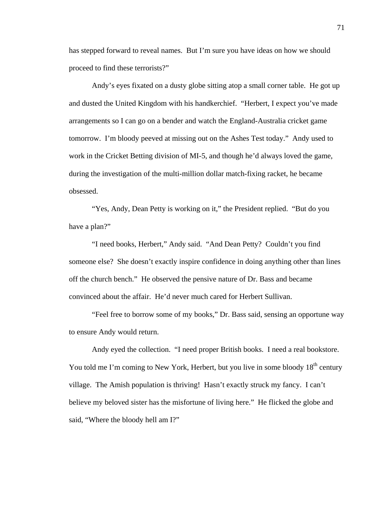has stepped forward to reveal names. But I'm sure you have ideas on how we should proceed to find these terrorists?"

 Andy's eyes fixated on a dusty globe sitting atop a small corner table. He got up and dusted the United Kingdom with his handkerchief. "Herbert, I expect you've made arrangements so I can go on a bender and watch the England-Australia cricket game tomorrow. I'm bloody peeved at missing out on the Ashes Test today." Andy used to work in the Cricket Betting division of MI-5, and though he'd always loved the game, during the investigation of the multi-million dollar match-fixing racket, he became obsessed.

 "Yes, Andy, Dean Petty is working on it," the President replied. "But do you have a plan?"

 "I need books, Herbert," Andy said. "And Dean Petty? Couldn't you find someone else? She doesn't exactly inspire confidence in doing anything other than lines off the church bench." He observed the pensive nature of Dr. Bass and became convinced about the affair. He'd never much cared for Herbert Sullivan.

 "Feel free to borrow some of my books," Dr. Bass said, sensing an opportune way to ensure Andy would return.

Andy eyed the collection. "I need proper British books. I need a real bookstore. You told me I'm coming to New York, Herbert, but you live in some bloody 18<sup>th</sup> century village. The Amish population is thriving! Hasn't exactly struck my fancy. I can't believe my beloved sister has the misfortune of living here." He flicked the globe and said, "Where the bloody hell am I?"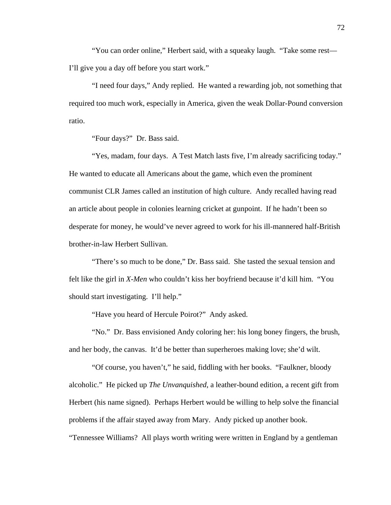"You can order online," Herbert said, with a squeaky laugh. "Take some rest— I'll give you a day off before you start work."

 "I need four days," Andy replied. He wanted a rewarding job, not something that required too much work, especially in America, given the weak Dollar-Pound conversion ratio.

"Four days?" Dr. Bass said.

 "Yes, madam, four days. A Test Match lasts five, I'm already sacrificing today." He wanted to educate all Americans about the game, which even the prominent communist CLR James called an institution of high culture. Andy recalled having read an article about people in colonies learning cricket at gunpoint. If he hadn't been so desperate for money, he would've never agreed to work for his ill-mannered half-British brother-in-law Herbert Sullivan.

 "There's so much to be done," Dr. Bass said. She tasted the sexual tension and felt like the girl in *X-Men* who couldn't kiss her boyfriend because it'd kill him. "You should start investigating. I'll help."

"Have you heard of Hercule Poirot?" Andy asked.

 "No." Dr. Bass envisioned Andy coloring her: his long boney fingers, the brush, and her body, the canvas. It'd be better than superheroes making love; she'd wilt.

 "Of course, you haven't," he said, fiddling with her books. "Faulkner, bloody alcoholic." He picked up *The Unvanquished*, a leather-bound edition, a recent gift from Herbert (his name signed). Perhaps Herbert would be willing to help solve the financial problems if the affair stayed away from Mary. Andy picked up another book.

"Tennessee Williams? All plays worth writing were written in England by a gentleman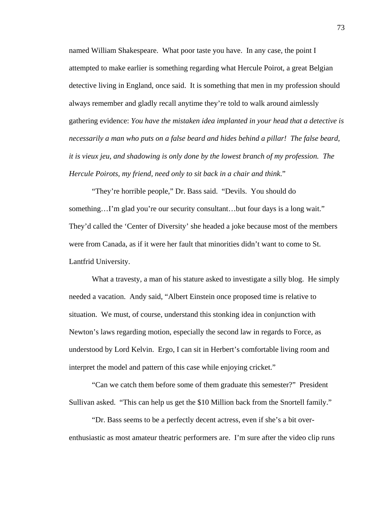named William Shakespeare. What poor taste you have. In any case, the point I attempted to make earlier is something regarding what Hercule Poirot, a great Belgian detective living in England, once said. It is something that men in my profession should always remember and gladly recall anytime they're told to walk around aimlessly gathering evidence: *You have the mistaken idea implanted in your head that a detective is necessarily a man who puts on a false beard and hides behind a pillar! The false beard, it is vieux jeu, and shadowing is only done by the lowest branch of my profession. The Hercule Poirots, my friend, need only to sit back in a chair and think*."

"They're horrible people," Dr. Bass said. "Devils. You should do something…I'm glad you're our security consultant…but four days is a long wait." They'd called the 'Center of Diversity' she headed a joke because most of the members were from Canada, as if it were her fault that minorities didn't want to come to St. Lantfrid University.

What a travesty, a man of his stature asked to investigate a silly blog. He simply needed a vacation. Andy said, "Albert Einstein once proposed time is relative to situation. We must, of course, understand this stonking idea in conjunction with Newton's laws regarding motion, especially the second law in regards to Force, as understood by Lord Kelvin. Ergo, I can sit in Herbert's comfortable living room and interpret the model and pattern of this case while enjoying cricket."

 "Can we catch them before some of them graduate this semester?" President Sullivan asked. "This can help us get the \$10 Million back from the Snortell family."

 "Dr. Bass seems to be a perfectly decent actress, even if she's a bit overenthusiastic as most amateur theatric performers are. I'm sure after the video clip runs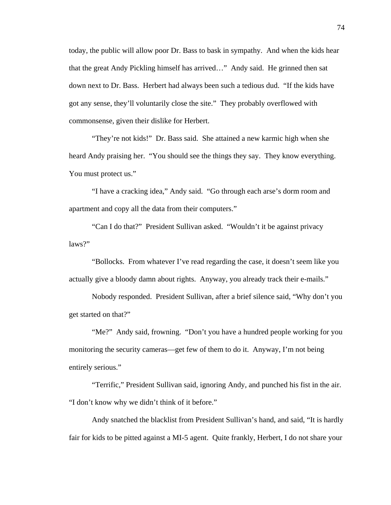today, the public will allow poor Dr. Bass to bask in sympathy. And when the kids hear that the great Andy Pickling himself has arrived…" Andy said. He grinned then sat down next to Dr. Bass. Herbert had always been such a tedious dud. "If the kids have got any sense, they'll voluntarily close the site." They probably overflowed with commonsense, given their dislike for Herbert.

 "They're not kids!" Dr. Bass said. She attained a new karmic high when she heard Andy praising her. "You should see the things they say. They know everything. You must protect us."

 "I have a cracking idea," Andy said. "Go through each arse's dorm room and apartment and copy all the data from their computers."

 "Can I do that?" President Sullivan asked. "Wouldn't it be against privacy laws?"

 "Bollocks. From whatever I've read regarding the case, it doesn't seem like you actually give a bloody damn about rights. Anyway, you already track their e-mails."

 Nobody responded. President Sullivan, after a brief silence said, "Why don't you get started on that?"

 "Me?" Andy said, frowning. "Don't you have a hundred people working for you monitoring the security cameras—get few of them to do it. Anyway, I'm not being entirely serious."

 "Terrific," President Sullivan said, ignoring Andy, and punched his fist in the air. "I don't know why we didn't think of it before."

 Andy snatched the blacklist from President Sullivan's hand, and said, "It is hardly fair for kids to be pitted against a MI-5 agent. Quite frankly, Herbert, I do not share your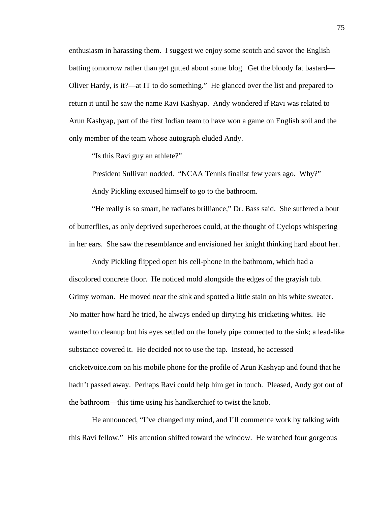enthusiasm in harassing them. I suggest we enjoy some scotch and savor the English batting tomorrow rather than get gutted about some blog. Get the bloody fat bastard— Oliver Hardy, is it?—at IT to do something." He glanced over the list and prepared to return it until he saw the name Ravi Kashyap. Andy wondered if Ravi was related to Arun Kashyap, part of the first Indian team to have won a game on English soil and the only member of the team whose autograph eluded Andy.

"Is this Ravi guy an athlete?"

President Sullivan nodded. "NCAA Tennis finalist few years ago. Why?"

Andy Pickling excused himself to go to the bathroom.

 "He really is so smart, he radiates brilliance," Dr. Bass said. She suffered a bout of butterflies, as only deprived superheroes could, at the thought of Cyclops whispering in her ears. She saw the resemblance and envisioned her knight thinking hard about her.

Andy Pickling flipped open his cell-phone in the bathroom, which had a discolored concrete floor. He noticed mold alongside the edges of the grayish tub. Grimy woman. He moved near the sink and spotted a little stain on his white sweater. No matter how hard he tried, he always ended up dirtying his cricketing whites. He wanted to cleanup but his eyes settled on the lonely pipe connected to the sink; a lead-like substance covered it. He decided not to use the tap. Instead, he accessed cricketvoice.com on his mobile phone for the profile of Arun Kashyap and found that he hadn't passed away. Perhaps Ravi could help him get in touch. Pleased, Andy got out of the bathroom—this time using his handkerchief to twist the knob.

He announced, "I've changed my mind, and I'll commence work by talking with this Ravi fellow." His attention shifted toward the window. He watched four gorgeous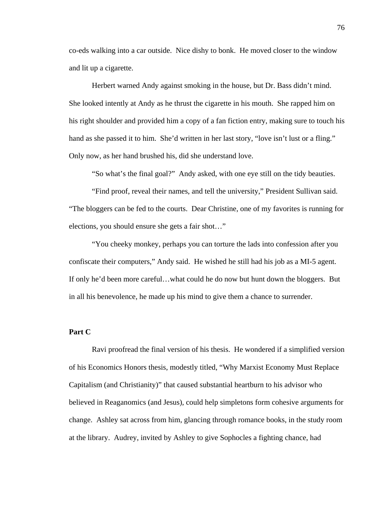co-eds walking into a car outside. Nice dishy to bonk. He moved closer to the window and lit up a cigarette.

Herbert warned Andy against smoking in the house, but Dr. Bass didn't mind. She looked intently at Andy as he thrust the cigarette in his mouth. She rapped him on his right shoulder and provided him a copy of a fan fiction entry, making sure to touch his hand as she passed it to him. She'd written in her last story, "love isn't lust or a fling." Only now, as her hand brushed his, did she understand love.

"So what's the final goal?" Andy asked, with one eye still on the tidy beauties.

 "Find proof, reveal their names, and tell the university," President Sullivan said. "The bloggers can be fed to the courts. Dear Christine, one of my favorites is running for elections, you should ensure she gets a fair shot…"

 "You cheeky monkey, perhaps you can torture the lads into confession after you confiscate their computers," Andy said. He wished he still had his job as a MI-5 agent. If only he'd been more careful…what could he do now but hunt down the bloggers. But in all his benevolence, he made up his mind to give them a chance to surrender.

#### **Part C**

Ravi proofread the final version of his thesis. He wondered if a simplified version of his Economics Honors thesis, modestly titled, "Why Marxist Economy Must Replace Capitalism (and Christianity)" that caused substantial heartburn to his advisor who believed in Reaganomics (and Jesus), could help simpletons form cohesive arguments for change. Ashley sat across from him, glancing through romance books, in the study room at the library. Audrey, invited by Ashley to give Sophocles a fighting chance, had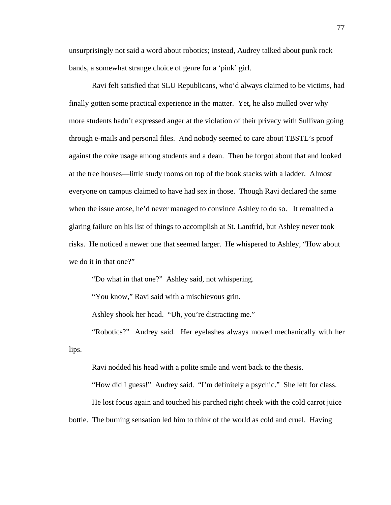unsurprisingly not said a word about robotics; instead, Audrey talked about punk rock bands, a somewhat strange choice of genre for a 'pink' girl.

Ravi felt satisfied that SLU Republicans, who'd always claimed to be victims, had finally gotten some practical experience in the matter. Yet, he also mulled over why more students hadn't expressed anger at the violation of their privacy with Sullivan going through e-mails and personal files. And nobody seemed to care about TBSTL's proof against the coke usage among students and a dean. Then he forgot about that and looked at the tree houses—little study rooms on top of the book stacks with a ladder. Almost everyone on campus claimed to have had sex in those. Though Ravi declared the same when the issue arose, he'd never managed to convince Ashley to do so. It remained a glaring failure on his list of things to accomplish at St. Lantfrid, but Ashley never took risks. He noticed a newer one that seemed larger. He whispered to Ashley, "How about we do it in that one?"

"Do what in that one?" Ashley said, not whispering.

"You know," Ravi said with a mischievous grin.

Ashley shook her head. "Uh, you're distracting me."

"Robotics?" Audrey said. Her eyelashes always moved mechanically with her lips.

Ravi nodded his head with a polite smile and went back to the thesis.

"How did I guess!" Audrey said. "I'm definitely a psychic." She left for class. He lost focus again and touched his parched right cheek with the cold carrot juice bottle. The burning sensation led him to think of the world as cold and cruel. Having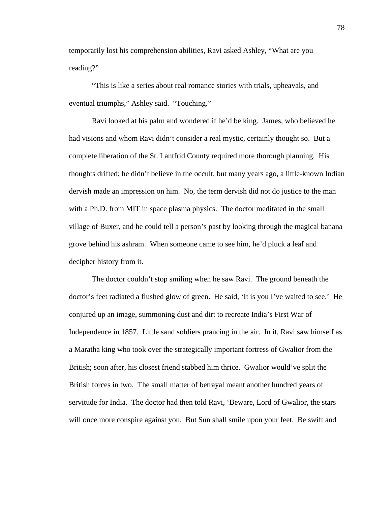temporarily lost his comprehension abilities, Ravi asked Ashley, "What are you reading?"

"This is like a series about real romance stories with trials, upheavals, and eventual triumphs," Ashley said. "Touching."

Ravi looked at his palm and wondered if he'd be king. James, who believed he had visions and whom Ravi didn't consider a real mystic, certainly thought so. But a complete liberation of the St. Lantfrid County required more thorough planning. His thoughts drifted; he didn't believe in the occult, but many years ago, a little-known Indian dervish made an impression on him. No, the term dervish did not do justice to the man with a Ph.D. from MIT in space plasma physics. The doctor meditated in the small village of Buxer, and he could tell a person's past by looking through the magical banana grove behind his ashram. When someone came to see him, he'd pluck a leaf and decipher history from it.

The doctor couldn't stop smiling when he saw Ravi. The ground beneath the doctor's feet radiated a flushed glow of green. He said, 'It is you I've waited to see.' He conjured up an image, summoning dust and dirt to recreate India's First War of Independence in 1857. Little sand soldiers prancing in the air. In it, Ravi saw himself as a Maratha king who took over the strategically important fortress of Gwalior from the British; soon after, his closest friend stabbed him thrice. Gwalior would've split the British forces in two. The small matter of betrayal meant another hundred years of servitude for India. The doctor had then told Ravi, 'Beware, Lord of Gwalior, the stars will once more conspire against you. But Sun shall smile upon your feet. Be swift and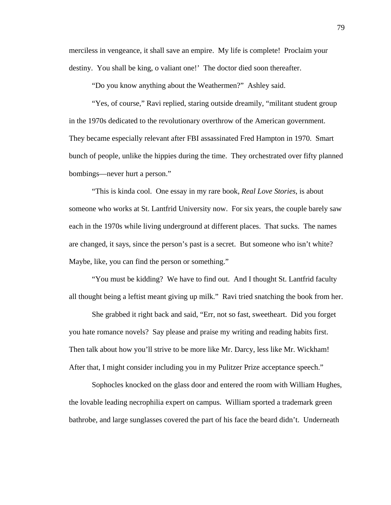merciless in vengeance, it shall save an empire. My life is complete! Proclaim your destiny. You shall be king, o valiant one!' The doctor died soon thereafter.

"Do you know anything about the Weathermen?" Ashley said.

"Yes, of course," Ravi replied, staring outside dreamily, "militant student group in the 1970s dedicated to the revolutionary overthrow of the American government. They became especially relevant after FBI assassinated Fred Hampton in 1970. Smart bunch of people, unlike the hippies during the time. They orchestrated over fifty planned bombings—never hurt a person."

"This is kinda cool. One essay in my rare book, *Real Love Stories*, is about someone who works at St. Lantfrid University now. For six years, the couple barely saw each in the 1970s while living underground at different places. That sucks. The names are changed, it says, since the person's past is a secret. But someone who isn't white? Maybe, like, you can find the person or something."

"You must be kidding? We have to find out. And I thought St. Lantfrid faculty all thought being a leftist meant giving up milk." Ravi tried snatching the book from her.

She grabbed it right back and said, "Err, not so fast, sweetheart. Did you forget you hate romance novels? Say please and praise my writing and reading habits first. Then talk about how you'll strive to be more like Mr. Darcy, less like Mr. Wickham! After that, I might consider including you in my Pulitzer Prize acceptance speech."

Sophocles knocked on the glass door and entered the room with William Hughes, the lovable leading necrophilia expert on campus. William sported a trademark green bathrobe, and large sunglasses covered the part of his face the beard didn't. Underneath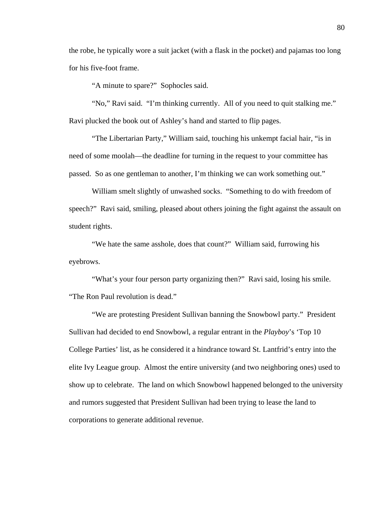the robe, he typically wore a suit jacket (with a flask in the pocket) and pajamas too long for his five-foot frame.

"A minute to spare?" Sophocles said.

"No," Ravi said. "I'm thinking currently. All of you need to quit stalking me." Ravi plucked the book out of Ashley's hand and started to flip pages.

"The Libertarian Party," William said, touching his unkempt facial hair, "is in need of some moolah—the deadline for turning in the request to your committee has passed. So as one gentleman to another, I'm thinking we can work something out."

William smelt slightly of unwashed socks. "Something to do with freedom of speech?" Ravi said, smiling, pleased about others joining the fight against the assault on student rights.

"We hate the same asshole, does that count?" William said, furrowing his eyebrows.

"What's your four person party organizing then?" Ravi said, losing his smile. "The Ron Paul revolution is dead."

"We are protesting President Sullivan banning the Snowbowl party." President Sullivan had decided to end Snowbowl, a regular entrant in the *Playboy*'s 'Top 10 College Parties' list, as he considered it a hindrance toward St. Lantfrid's entry into the elite Ivy League group. Almost the entire university (and two neighboring ones) used to show up to celebrate. The land on which Snowbowl happened belonged to the university and rumors suggested that President Sullivan had been trying to lease the land to corporations to generate additional revenue.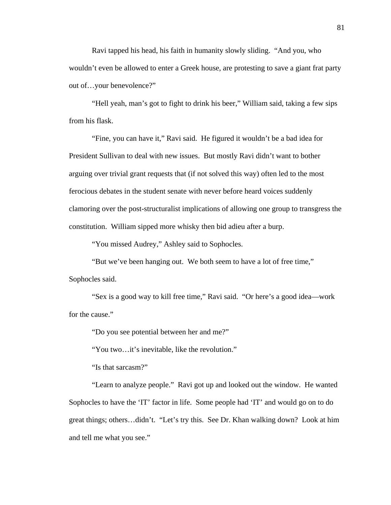Ravi tapped his head, his faith in humanity slowly sliding. "And you, who wouldn't even be allowed to enter a Greek house, are protesting to save a giant frat party out of…your benevolence?"

"Hell yeah, man's got to fight to drink his beer," William said, taking a few sips from his flask.

"Fine, you can have it," Ravi said. He figured it wouldn't be a bad idea for President Sullivan to deal with new issues. But mostly Ravi didn't want to bother arguing over trivial grant requests that (if not solved this way) often led to the most ferocious debates in the student senate with never before heard voices suddenly clamoring over the post-structuralist implications of allowing one group to transgress the constitution. William sipped more whisky then bid adieu after a burp.

"You missed Audrey," Ashley said to Sophocles.

"But we've been hanging out. We both seem to have a lot of free time," Sophocles said.

"Sex is a good way to kill free time," Ravi said. "Or here's a good idea—work for the cause."

"Do you see potential between her and me?"

"You two…it's inevitable, like the revolution."

"Is that sarcasm?"

"Learn to analyze people." Ravi got up and looked out the window. He wanted Sophocles to have the 'IT' factor in life. Some people had 'IT' and would go on to do great things; others…didn't. "Let's try this. See Dr. Khan walking down? Look at him and tell me what you see."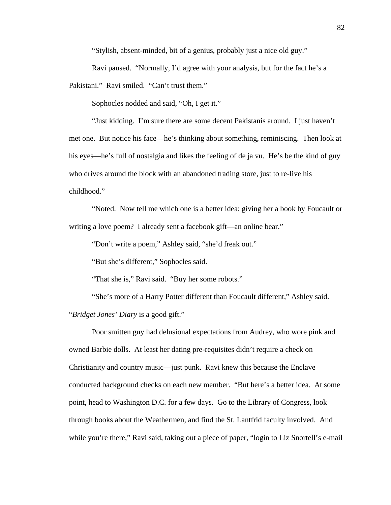"Stylish, absent-minded, bit of a genius, probably just a nice old guy."

Ravi paused. "Normally, I'd agree with your analysis, but for the fact he's a Pakistani." Ravi smiled. "Can't trust them."

Sophocles nodded and said, "Oh, I get it."

"Just kidding. I'm sure there are some decent Pakistanis around. I just haven't met one. But notice his face—he's thinking about something, reminiscing. Then look at his eyes—he's full of nostalgia and likes the feeling of de ja vu. He's be the kind of guy who drives around the block with an abandoned trading store, just to re-live his childhood."

"Noted. Now tell me which one is a better idea: giving her a book by Foucault or writing a love poem? I already sent a facebook gift—an online bear."

"Don't write a poem," Ashley said, "she'd freak out."

"But she's different," Sophocles said.

"That she is," Ravi said. "Buy her some robots."

"She's more of a Harry Potter different than Foucault different," Ashley said. "*Bridget Jones' Diary* is a good gift."

Poor smitten guy had delusional expectations from Audrey, who wore pink and owned Barbie dolls. At least her dating pre-requisites didn't require a check on Christianity and country music—just punk. Ravi knew this because the Enclave conducted background checks on each new member. "But here's a better idea. At some point, head to Washington D.C. for a few days. Go to the Library of Congress, look through books about the Weathermen, and find the St. Lantfrid faculty involved. And while you're there," Ravi said, taking out a piece of paper, "login to Liz Snortell's e-mail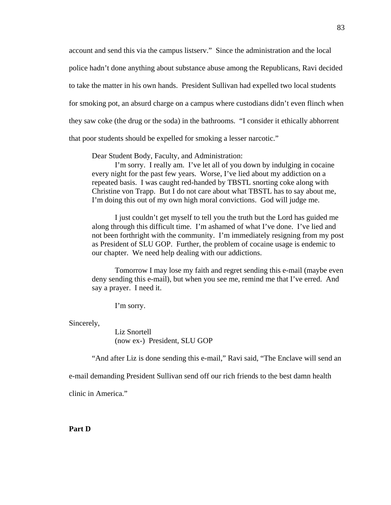account and send this via the campus listserv." Since the administration and the local police hadn't done anything about substance abuse among the Republicans, Ravi decided to take the matter in his own hands. President Sullivan had expelled two local students for smoking pot, an absurd charge on a campus where custodians didn't even flinch when they saw coke (the drug or the soda) in the bathrooms. "I consider it ethically abhorrent that poor students should be expelled for smoking a lesser narcotic."

Dear Student Body, Faculty, and Administration:

I'm sorry. I really am. I've let all of you down by indulging in cocaine every night for the past few years. Worse, I've lied about my addiction on a repeated basis. I was caught red-handed by TBSTL snorting coke along with Christine von Trapp. But I do not care about what TBSTL has to say about me, I'm doing this out of my own high moral convictions. God will judge me.

I just couldn't get myself to tell you the truth but the Lord has guided me along through this difficult time. I'm ashamed of what I've done. I've lied and not been forthright with the community. I'm immediately resigning from my post as President of SLU GOP. Further, the problem of cocaine usage is endemic to our chapter. We need help dealing with our addictions.

Tomorrow I may lose my faith and regret sending this e-mail (maybe even deny sending this e-mail), but when you see me, remind me that I've erred. And say a prayer. I need it.

I'm sorry.

Sincerely,

Liz Snortell (now ex-) President, SLU GOP

"And after Liz is done sending this e-mail," Ravi said, "The Enclave will send an

e-mail demanding President Sullivan send off our rich friends to the best damn health

clinic in America."

**Part D**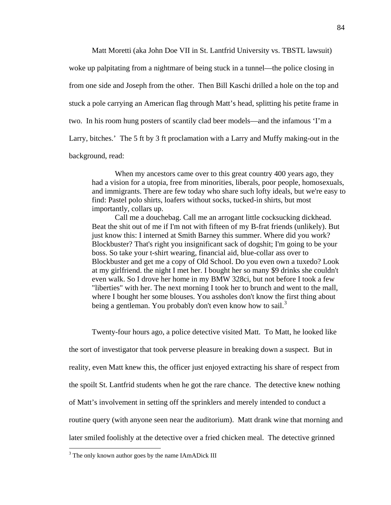Matt Moretti (aka John Doe VII in St. Lantfrid University vs. TBSTL lawsuit)

woke up palpitating from a nightmare of being stuck in a tunnel—the police closing in from one side and Joseph from the other. Then Bill Kaschi drilled a hole on the top and stuck a pole carrying an American flag through Matt's head, splitting his petite frame in two. In his room hung posters of scantily clad beer models—and the infamous 'I'm a Larry, bitches.' The 5 ft by 3 ft proclamation with a Larry and Muffy making-out in the background, read:

When my ancestors came over to this great country 400 years ago, they had a vision for a utopia, free from minorities, liberals, poor people, homosexuals, and immigrants. There are few today who share such lofty ideals, but we're easy to find: Pastel polo shirts, loafers without socks, tucked-in shirts, but most importantly, collars up.

Call me a douchebag. Call me an arrogant little cocksucking dickhead. Beat the shit out of me if I'm not with fifteen of my B-frat friends (unlikely). But just know this: I interned at Smith Barney this summer. Where did you work? Blockbuster? That's right you insignificant sack of dogshit; I'm going to be your boss. So take your t-shirt wearing, financial aid, blue-collar ass over to Blockbuster and get me a copy of Old School. Do you even own a tuxedo? Look at my girlfriend. the night I met her. I bought her so many \$9 drinks she couldn't even walk. So I drove her home in my BMW 328ci, but not before I took a few "liberties" with her. The next morning I took her to brunch and went to the mall, where I bought her some blouses. You assholes don't know the first thing about being a gentleman. You probably don't even know how to sail.<sup>[3](#page-89-0)</sup>

Twenty-four hours ago, a police detective visited Matt. To Matt, he looked like the sort of investigator that took perverse pleasure in breaking down a suspect. But in reality, even Matt knew this, the officer just enjoyed extracting his share of respect from the spoilt St. Lantfrid students when he got the rare chance. The detective knew nothing of Matt's involvement in setting off the sprinklers and merely intended to conduct a routine query (with anyone seen near the auditorium). Matt drank wine that morning and later smiled foolishly at the detective over a fried chicken meal. The detective grinned

<span id="page-89-0"></span><sup>&</sup>lt;sup>3</sup> The only known author goes by the name IAmADick III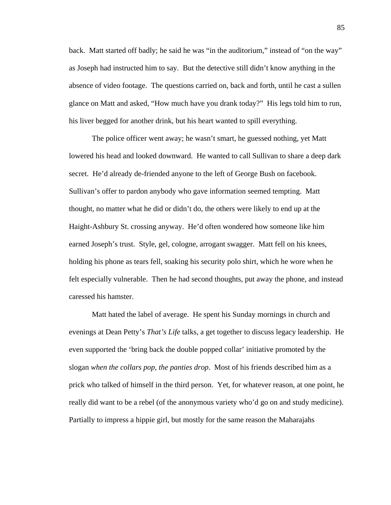back. Matt started off badly; he said he was "in the auditorium," instead of "on the way" as Joseph had instructed him to say. But the detective still didn't know anything in the absence of video footage. The questions carried on, back and forth, until he cast a sullen glance on Matt and asked, "How much have you drank today?" His legs told him to run, his liver begged for another drink, but his heart wanted to spill everything.

The police officer went away; he wasn't smart, he guessed nothing, yet Matt lowered his head and looked downward. He wanted to call Sullivan to share a deep dark secret. He'd already de-friended anyone to the left of George Bush on facebook. Sullivan's offer to pardon anybody who gave information seemed tempting. Matt thought, no matter what he did or didn't do, the others were likely to end up at the Haight-Ashbury St. crossing anyway. He'd often wondered how someone like him earned Joseph's trust. Style, gel, cologne, arrogant swagger. Matt fell on his knees, holding his phone as tears fell, soaking his security polo shirt, which he wore when he felt especially vulnerable. Then he had second thoughts, put away the phone, and instead caressed his hamster.

Matt hated the label of average. He spent his Sunday mornings in church and evenings at Dean Petty's *That's Life* talks, a get together to discuss legacy leadership. He even supported the 'bring back the double popped collar' initiative promoted by the slogan *when the collars pop, the panties drop*. Most of his friends described him as a prick who talked of himself in the third person. Yet, for whatever reason, at one point, he really did want to be a rebel (of the anonymous variety who'd go on and study medicine). Partially to impress a hippie girl, but mostly for the same reason the Maharajahs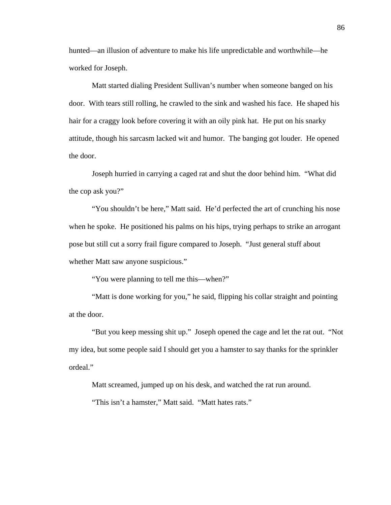hunted—an illusion of adventure to make his life unpredictable and worthwhile—he worked for Joseph.

Matt started dialing President Sullivan's number when someone banged on his door. With tears still rolling, he crawled to the sink and washed his face. He shaped his hair for a craggy look before covering it with an oily pink hat. He put on his snarky attitude, though his sarcasm lacked wit and humor. The banging got louder. He opened the door.

Joseph hurried in carrying a caged rat and shut the door behind him. "What did the cop ask you?"

"You shouldn't be here," Matt said. He'd perfected the art of crunching his nose when he spoke. He positioned his palms on his hips, trying perhaps to strike an arrogant pose but still cut a sorry frail figure compared to Joseph. "Just general stuff about whether Matt saw anyone suspicious."

"You were planning to tell me this—when?"

"Matt is done working for you," he said, flipping his collar straight and pointing at the door.

"But you keep messing shit up." Joseph opened the cage and let the rat out. "Not my idea, but some people said I should get you a hamster to say thanks for the sprinkler ordeal."

Matt screamed, jumped up on his desk, and watched the rat run around.

"This isn't a hamster," Matt said. "Matt hates rats."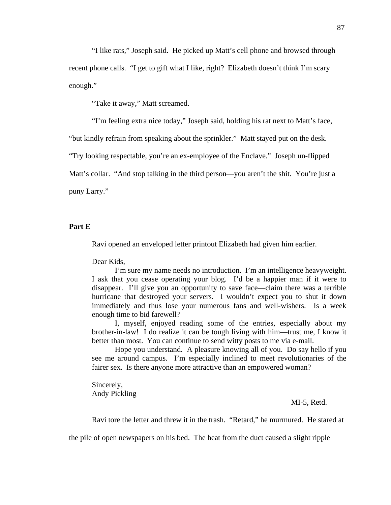"I like rats," Joseph said. He picked up Matt's cell phone and browsed through recent phone calls. "I get to gift what I like, right? Elizabeth doesn't think I'm scary enough."

"Take it away," Matt screamed.

"I'm feeling extra nice today," Joseph said, holding his rat next to Matt's face,

"but kindly refrain from speaking about the sprinkler." Matt stayed put on the desk.

"Try looking respectable, you're an ex-employee of the Enclave." Joseph un-flipped

Matt's collar. "And stop talking in the third person—you aren't the shit. You're just a

puny Larry."

# **Part E**

Ravi opened an enveloped letter printout Elizabeth had given him earlier.

Dear Kids,

I'm sure my name needs no introduction. I'm an intelligence heavyweight. I ask that you cease operating your blog. I'd be a happier man if it were to disappear. I'll give you an opportunity to save face—claim there was a terrible hurricane that destroyed your servers. I wouldn't expect you to shut it down immediately and thus lose your numerous fans and well-wishers. Is a week enough time to bid farewell?

I, myself, enjoyed reading some of the entries, especially about my brother-in-law! I do realize it can be tough living with him—trust me, I know it better than most. You can continue to send witty posts to me via e-mail.

Hope you understand. A pleasure knowing all of you. Do say hello if you see me around campus. I'm especially inclined to meet revolutionaries of the fairer sex. Is there anyone more attractive than an empowered woman?

Sincerely, Andy Pickling

## MI-5, Retd.

Ravi tore the letter and threw it in the trash. "Retard," he murmured. He stared at

the pile of open newspapers on his bed. The heat from the duct caused a slight ripple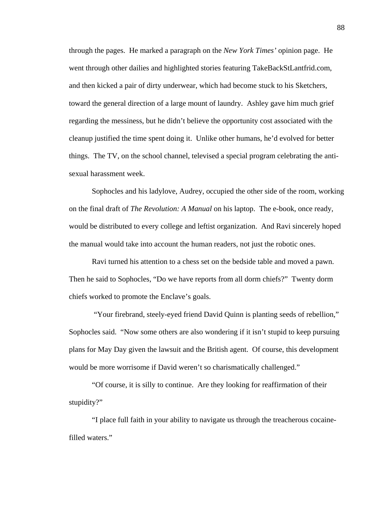through the pages. He marked a paragraph on the *New York Times'* opinion page. He went through other dailies and highlighted stories featuring TakeBackStLantfrid.com, and then kicked a pair of dirty underwear, which had become stuck to his Sketchers, toward the general direction of a large mount of laundry. Ashley gave him much grief regarding the messiness, but he didn't believe the opportunity cost associated with the cleanup justified the time spent doing it. Unlike other humans, he'd evolved for better things. The TV, on the school channel, televised a special program celebrating the antisexual harassment week.

 Sophocles and his ladylove, Audrey, occupied the other side of the room, working on the final draft of *The Revolution: A Manual* on his laptop. The e-book, once ready, would be distributed to every college and leftist organization. And Ravi sincerely hoped the manual would take into account the human readers, not just the robotic ones.

 Ravi turned his attention to a chess set on the bedside table and moved a pawn. Then he said to Sophocles, "Do we have reports from all dorm chiefs?" Twenty dorm chiefs worked to promote the Enclave's goals.

 "Your firebrand, steely-eyed friend David Quinn is planting seeds of rebellion," Sophocles said. "Now some others are also wondering if it isn't stupid to keep pursuing plans for May Day given the lawsuit and the British agent. Of course, this development would be more worrisome if David weren't so charismatically challenged."

"Of course, it is silly to continue. Are they looking for reaffirmation of their stupidity?"

"I place full faith in your ability to navigate us through the treacherous cocainefilled waters."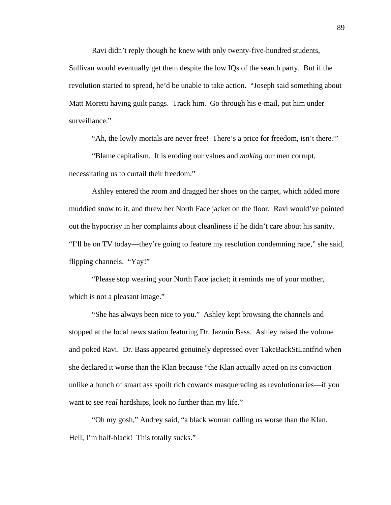Ravi didn't reply though he knew with only twenty-five-hundred students, Sullivan would eventually get them despite the low IQs of the search party. But if the revolution started to spread, he'd be unable to take action. "Joseph said something about Matt Moretti having guilt pangs. Track him. Go through his e-mail, put him under surveillance."

"Ah, the lowly mortals are never free! There's a price for freedom, isn't there?"

"Blame capitalism. It is eroding our values and *making* our men corrupt, necessitating us to curtail their freedom."

Ashley entered the room and dragged her shoes on the carpet, which added more muddied snow to it, and threw her North Face jacket on the floor. Ravi would've pointed out the hypocrisy in her complaints about cleanliness if he didn't care about his sanity. "I'll be on TV today—they're going to feature my resolution condemning rape," she said, flipping channels. "Yay!"

"Please stop wearing your North Face jacket; it reminds me of your mother, which is not a pleasant image."

"She has always been nice to you." Ashley kept browsing the channels and stopped at the local news station featuring Dr. Jazmin Bass. Ashley raised the volume and poked Ravi. Dr. Bass appeared genuinely depressed over TakeBackStLantfrid when she declared it worse than the Klan because "the Klan actually acted on its conviction unlike a bunch of smart ass spoilt rich cowards masquerading as revolutionaries—if you want to see *real* hardships, look no further than my life."

 "Oh my gosh," Audrey said, "a black woman calling us worse than the Klan. Hell, I'm half-black! This totally sucks."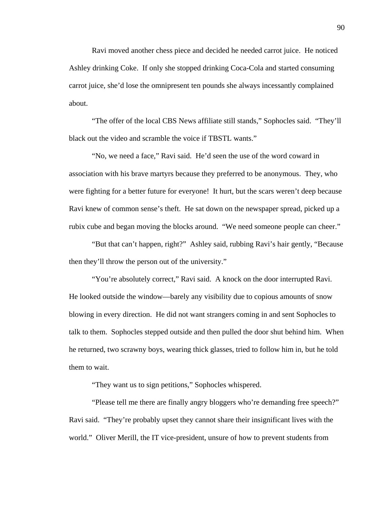Ravi moved another chess piece and decided he needed carrot juice. He noticed Ashley drinking Coke. If only she stopped drinking Coca-Cola and started consuming carrot juice, she'd lose the omnipresent ten pounds she always incessantly complained about.

 "The offer of the local CBS News affiliate still stands," Sophocles said. "They'll black out the video and scramble the voice if TBSTL wants."

 "No, we need a face," Ravi said. He'd seen the use of the word coward in association with his brave martyrs because they preferred to be anonymous. They, who were fighting for a better future for everyone! It hurt, but the scars weren't deep because Ravi knew of common sense's theft. He sat down on the newspaper spread, picked up a rubix cube and began moving the blocks around. "We need someone people can cheer."

 "But that can't happen, right?" Ashley said, rubbing Ravi's hair gently, "Because then they'll throw the person out of the university."

 "You're absolutely correct," Ravi said. A knock on the door interrupted Ravi. He looked outside the window—barely any visibility due to copious amounts of snow blowing in every direction. He did not want strangers coming in and sent Sophocles to talk to them. Sophocles stepped outside and then pulled the door shut behind him. When he returned, two scrawny boys, wearing thick glasses, tried to follow him in, but he told them to wait.

"They want us to sign petitions," Sophocles whispered.

 "Please tell me there are finally angry bloggers who're demanding free speech?" Ravi said. "They're probably upset they cannot share their insignificant lives with the world." Oliver Merill, the IT vice-president, unsure of how to prevent students from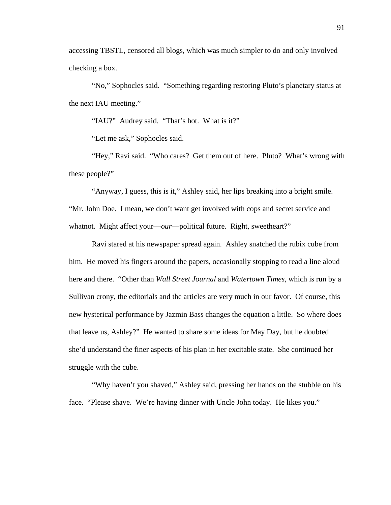accessing TBSTL, censored all blogs, which was much simpler to do and only involved checking a box.

 "No," Sophocles said. "Something regarding restoring Pluto's planetary status at the next IAU meeting."

"IAU?" Audrey said. "That's hot. What is it?"

"Let me ask," Sophocles said.

 "Hey," Ravi said. "Who cares? Get them out of here. Pluto? What's wrong with these people?"

"Anyway, I guess, this is it," Ashley said, her lips breaking into a bright smile. "Mr. John Doe. I mean, we don't want get involved with cops and secret service and whatnot. Might affect your—*our*—political future. Right, sweetheart?"

Ravi stared at his newspaper spread again. Ashley snatched the rubix cube from him. He moved his fingers around the papers, occasionally stopping to read a line aloud here and there. "Other than *Wall Street Journal* and *Watertown Times,* which is run by a Sullivan crony, the editorials and the articles are very much in our favor. Of course, this new hysterical performance by Jazmin Bass changes the equation a little. So where does that leave us, Ashley?" He wanted to share some ideas for May Day, but he doubted she'd understand the finer aspects of his plan in her excitable state. She continued her struggle with the cube.

 "Why haven't you shaved," Ashley said, pressing her hands on the stubble on his face. "Please shave. We're having dinner with Uncle John today. He likes you."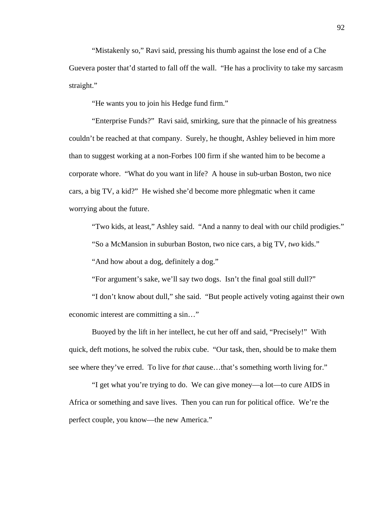"Mistakenly so," Ravi said, pressing his thumb against the lose end of a Che Guevera poster that'd started to fall off the wall. "He has a proclivity to take my sarcasm straight."

"He wants you to join his Hedge fund firm."

"Enterprise Funds?" Ravi said, smirking, sure that the pinnacle of his greatness couldn't be reached at that company. Surely, he thought, Ashley believed in him more than to suggest working at a non-Forbes 100 firm if she wanted him to be become a corporate whore. "What do you want in life? A house in sub-urban Boston, two nice cars, a big TV, a kid?" He wished she'd become more phlegmatic when it came worrying about the future.

"Two kids, at least," Ashley said. "And a nanny to deal with our child prodigies."

"So a McMansion in suburban Boston, two nice cars, a big TV, *two* kids."

"And how about a dog, definitely a dog."

"For argument's sake, we'll say two dogs. Isn't the final goal still dull?"

"I don't know about dull," she said. "But people actively voting against their own economic interest are committing a sin…"

Buoyed by the lift in her intellect, he cut her off and said, "Precisely!" With quick, deft motions, he solved the rubix cube. "Our task, then, should be to make them see where they've erred. To live for *that* cause…that's something worth living for."

"I get what you're trying to do. We can give money—a lot—to cure AIDS in Africa or something and save lives. Then you can run for political office. We're the perfect couple, you know—the new America."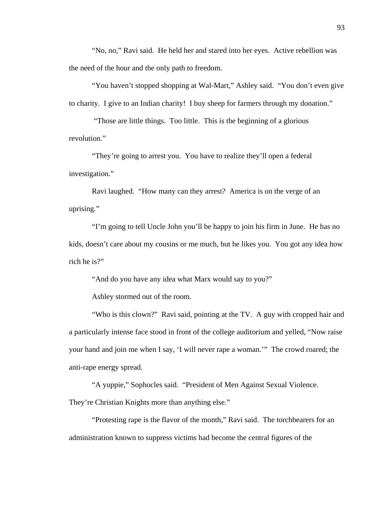"No, no," Ravi said. He held her and stared into her eyes. Active rebellion was the need of the hour and the only path to freedom.

"You haven't stopped shopping at Wal-Mart," Ashley said. "You don't even give to charity. I give to an Indian charity! I buy sheep for farmers through my donation."

 "Those are little things. Too little. This is the beginning of a glorious revolution."

"They're going to arrest you. You have to realize they'll open a federal investigation."

Ravi laughed. "How many can they arrest? America is on the verge of an uprising."

"I'm going to tell Uncle John you'll be happy to join his firm in June. He has no kids, doesn't care about my cousins or me much, but he likes you. You got any idea how rich he is?"

"And do you have any idea what Marx would say to you?"

Ashley stormed out of the room.

"Who is this clown?" Ravi said, pointing at the TV. A guy with cropped hair and a particularly intense face stood in front of the college auditorium and yelled, "Now raise your hand and join me when I say, 'I will never rape a woman.'" The crowd roared; the anti-rape energy spread.

"A yuppie," Sophocles said. "President of Men Against Sexual Violence. They're Christian Knights more than anything else."

"Protesting rape is the flavor of the month," Ravi said. The torchbearers for an administration known to suppress victims had become the central figures of the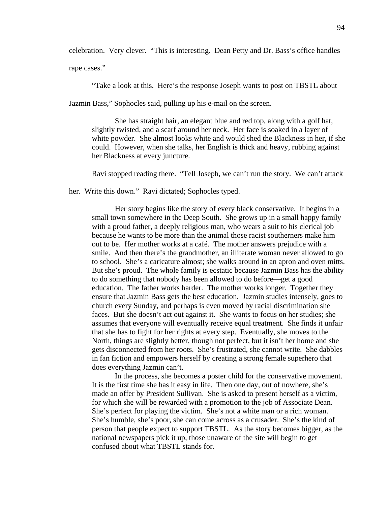celebration. Very clever. "This is interesting. Dean Petty and Dr. Bass's office handles

rape cases."

"Take a look at this. Here's the response Joseph wants to post on TBSTL about

Jazmin Bass," Sophocles said, pulling up his e-mail on the screen.

She has straight hair, an elegant blue and red top, along with a golf hat, slightly twisted, and a scarf around her neck. Her face is soaked in a layer of white powder. She almost looks white and would shed the Blackness in her, if she could. However, when she talks, her English is thick and heavy, rubbing against her Blackness at every juncture.

Ravi stopped reading there. "Tell Joseph, we can't run the story. We can't attack

her. Write this down." Ravi dictated; Sophocles typed.

Her story begins like the story of every black conservative. It begins in a small town somewhere in the Deep South. She grows up in a small happy family with a proud father, a deeply religious man, who wears a suit to his clerical job because he wants to be more than the animal those racist southerners make him out to be. Her mother works at a café. The mother answers prejudice with a smile. And then there's the grandmother, an illiterate woman never allowed to go to school. She's a caricature almost; she walks around in an apron and oven mitts. But she's proud. The whole family is ecstatic because Jazmin Bass has the ability to do something that nobody has been allowed to do before—get a good education. The father works harder. The mother works longer. Together they ensure that Jazmin Bass gets the best education. Jazmin studies intensely, goes to church every Sunday, and perhaps is even moved by racial discrimination she faces. But she doesn't act out against it. She wants to focus on her studies; she assumes that everyone will eventually receive equal treatment. She finds it unfair that she has to fight for her rights at every step. Eventually, she moves to the North, things are slightly better, though not perfect, but it isn't her home and she gets disconnected from her roots. She's frustrated, she cannot write. She dabbles in fan fiction and empowers herself by creating a strong female superhero that does everything Jazmin can't.

In the process, she becomes a poster child for the conservative movement. It is the first time she has it easy in life. Then one day, out of nowhere, she's made an offer by President Sullivan. She is asked to present herself as a victim, for which she will be rewarded with a promotion to the job of Associate Dean. She's perfect for playing the victim. She's not a white man or a rich woman. She's humble, she's poor, she can come across as a crusader. She's the kind of person that people expect to support TBSTL. As the story becomes bigger, as the national newspapers pick it up, those unaware of the site will begin to get confused about what TBSTL stands for.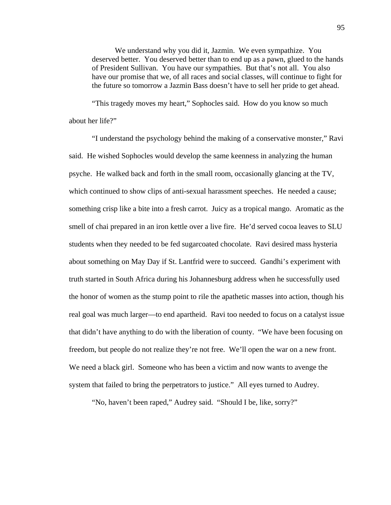We understand why you did it, Jazmin. We even sympathize. You deserved better. You deserved better than to end up as a pawn, glued to the hands of President Sullivan. You have our sympathies. But that's not all. You also have our promise that we, of all races and social classes, will continue to fight for the future so tomorrow a Jazmin Bass doesn't have to sell her pride to get ahead.

"This tragedy moves my heart," Sophocles said. How do you know so much about her life?"

"I understand the psychology behind the making of a conservative monster," Ravi said. He wished Sophocles would develop the same keenness in analyzing the human psyche. He walked back and forth in the small room, occasionally glancing at the TV, which continued to show clips of anti-sexual harassment speeches. He needed a cause; something crisp like a bite into a fresh carrot. Juicy as a tropical mango. Aromatic as the smell of chai prepared in an iron kettle over a live fire. He'd served cocoa leaves to SLU students when they needed to be fed sugarcoated chocolate. Ravi desired mass hysteria about something on May Day if St. Lantfrid were to succeed. Gandhi's experiment with truth started in South Africa during his Johannesburg address when he successfully used the honor of women as the stump point to rile the apathetic masses into action, though his real goal was much larger—to end apartheid. Ravi too needed to focus on a catalyst issue that didn't have anything to do with the liberation of county. "We have been focusing on freedom, but people do not realize they're not free. We'll open the war on a new front. We need a black girl. Someone who has been a victim and now wants to avenge the system that failed to bring the perpetrators to justice." All eyes turned to Audrey.

"No, haven't been raped," Audrey said. "Should I be, like, sorry?"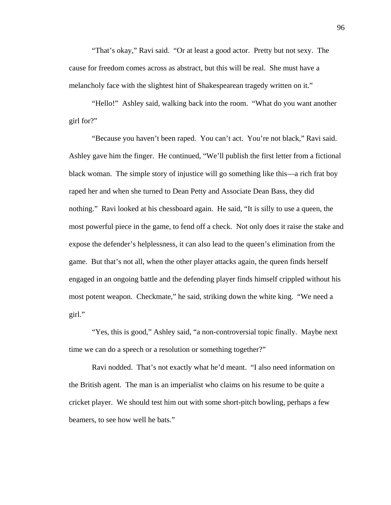"That's okay," Ravi said. "Or at least a good actor. Pretty but not sexy. The cause for freedom comes across as abstract, but this will be real. She must have a melancholy face with the slightest hint of Shakespearean tragedy written on it."

"Hello!" Ashley said, walking back into the room. "What do you want another girl for?"

"Because you haven't been raped. You can't act. You're not black," Ravi said. Ashley gave him the finger. He continued, "We'll publish the first letter from a fictional black woman. The simple story of injustice will go something like this—a rich frat boy raped her and when she turned to Dean Petty and Associate Dean Bass, they did nothing." Ravi looked at his chessboard again. He said, "It is silly to use a queen, the most powerful piece in the game, to fend off a check. Not only does it raise the stake and expose the defender's helplessness, it can also lead to the queen's elimination from the game. But that's not all, when the other player attacks again, the queen finds herself engaged in an ongoing battle and the defending player finds himself crippled without his most potent weapon. Checkmate," he said, striking down the white king. "We need a girl."

"Yes, this is good," Ashley said, "a non-controversial topic finally. Maybe next time we can do a speech or a resolution or something together?"

Ravi nodded. That's not exactly what he'd meant. "I also need information on the British agent. The man is an imperialist who claims on his resume to be quite a cricket player. We should test him out with some short-pitch bowling, perhaps a few beamers, to see how well he bats."